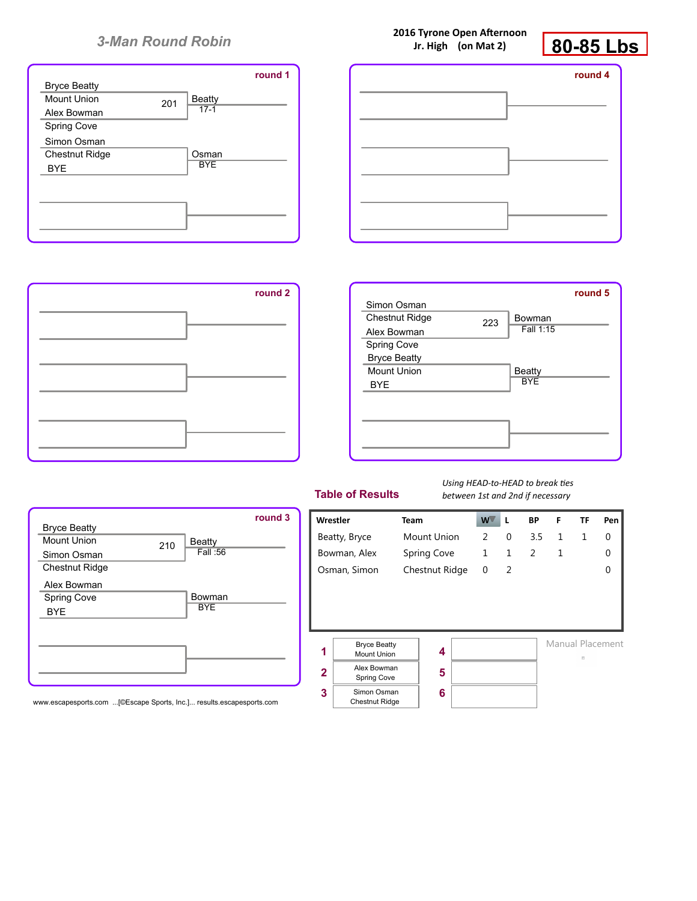|                       |     |               | round 1 |
|-----------------------|-----|---------------|---------|
| <b>Bryce Beatty</b>   |     |               |         |
| Mount Union           | 201 | <b>Beatty</b> |         |
| Alex Bowman           |     | $17-1$        |         |
| Spring Cove           |     |               |         |
| Simon Osman           |     |               |         |
| <b>Chestnut Ridge</b> |     | Osman         |         |
| <b>BYE</b>            |     | <b>BYE</b>    |         |
|                       |     |               |         |
|                       |     |               |         |
|                       |     |               |         |
|                       |     |               |         |
|                       |     |               |         |

| 2016 Tyrone Open Afternoon |
|----------------------------|
| Jr. High (on Mat 2)        |



| round 4 |  | round 1 |
|---------|--|---------|
|         |  |         |
|         |  |         |
|         |  |         |
|         |  |         |
|         |  |         |
|         |  |         |





#### **Table of Results**

*Using HEAD-to-HEAD to break ties between 1st and 2nd if necessary*



www.escapesports.com ...[©Escape Sports, Inc.]... results.escapesports.com

|                         | Wrestler                       | Team               |   | w۱ | L            | ВP  | F            | ΤF           | Pen              |
|-------------------------|--------------------------------|--------------------|---|----|--------------|-----|--------------|--------------|------------------|
|                         | Beatty, Bryce                  | <b>Mount Union</b> |   | 2  | 0            | 3.5 | $\mathbf{1}$ | $\mathbf{1}$ | 0                |
|                         | Bowman, Alex                   | Spring Cove        |   | 1  | $\mathbf{1}$ | 2   | 1            |              | O                |
|                         | Osman, Simon<br>Chestnut Ridge |                    | 0 | 2  |              |     |              |              |                  |
|                         |                                |                    |   |    |              |     |              |              |                  |
|                         |                                |                    |   |    |              |     |              |              |                  |
|                         |                                |                    |   |    |              |     |              |              |                  |
|                         | <b>Bryce Beatty</b>            |                    |   |    |              |     |              |              | Manual Placement |
| 1                       | <b>Mount Union</b>             |                    | 4 |    |              |     |              | B            |                  |
| $\overline{\mathbf{2}}$ | Alex Bowman                    |                    | 5 |    |              |     |              |              |                  |
|                         | Spring Cove                    |                    |   |    |              |     |              |              |                  |
| 3                       | Simon Osman                    |                    | 6 |    |              |     |              |              |                  |
|                         | <b>Chestnut Ridge</b>          |                    |   |    |              |     |              |              |                  |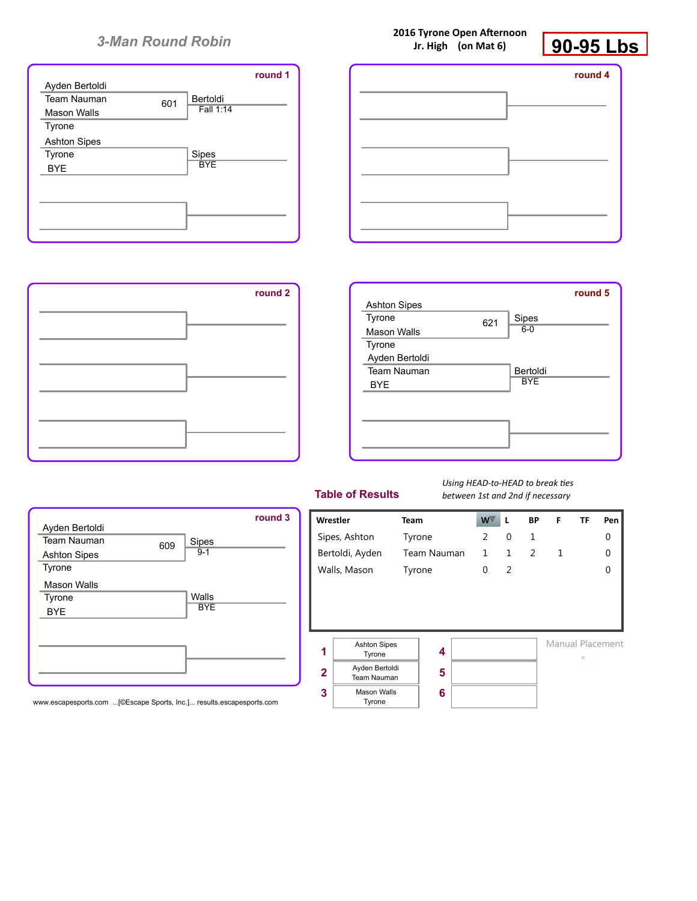|                     |     |            | round 1 |
|---------------------|-----|------------|---------|
| Ayden Bertoldi      |     |            |         |
| <b>Team Nauman</b>  | 601 | Bertoldi   |         |
| Mason Walls         |     | Fall 1:14  |         |
| Tyrone              |     |            |         |
| <b>Ashton Sipes</b> |     |            |         |
| Tyrone              |     | Sipes      |         |
| <b>BYE</b>          |     | <b>BYE</b> |         |
|                     |     |            |         |
|                     |     |            |         |
|                     |     |            |         |
|                     |     |            |         |
|                     |     |            |         |

**2016 Tyrone Open Afternoon Jr. High (on Mat 6)**



| round 4 |  | round 1 |
|---------|--|---------|
|         |  |         |
|         |  |         |
|         |  |         |
|         |  |         |
|         |  |         |





#### **Table of Results**

*Using HEAD-to-HEAD to break ties between 1st and 2nd if necessary*



www.escapesports.com ...[©Escape Sports, Inc.]... results.escapesports.com

| Wrestler                |                               | <b>Team</b> |   | $W^{\top}$   | L            | ВP             | F | ΤF | Pen              |
|-------------------------|-------------------------------|-------------|---|--------------|--------------|----------------|---|----|------------------|
|                         | Sipes, Ashton                 | Tyrone      |   | 2            | 0            | 1              |   |    | 0                |
|                         | Bertoldi, Ayden               | Team Nauman |   | $\mathbf{1}$ | $\mathbf{1}$ | $\overline{2}$ | 1 |    | 0                |
|                         | Walls, Mason                  | Tyrone      |   | 0            | 2            |                |   |    | 0                |
|                         |                               |             |   |              |              |                |   |    |                  |
|                         |                               |             |   |              |              |                |   |    |                  |
|                         |                               |             |   |              |              |                |   |    |                  |
|                         | <b>Ashton Sipes</b>           |             |   |              |              |                |   |    | Manual Placement |
| 1                       | Tyrone                        |             | 4 |              |              |                |   | B  |                  |
| $\overline{\mathbf{2}}$ | Ayden Bertoldi<br>Team Nauman |             | 5 |              |              |                |   |    |                  |
|                         | <b>Mason Walls</b>            |             |   |              |              |                |   |    |                  |
| 3                       | Tyrone                        |             | 6 |              |              |                |   |    |                  |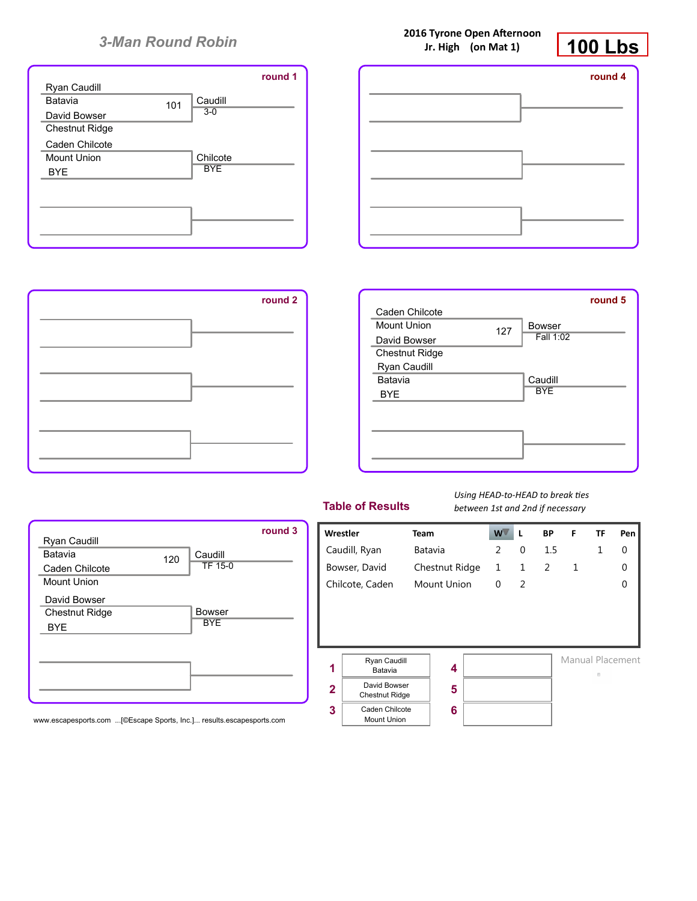





120

Caudill TF 15-0

Bowser **BYE** 

| round 2 |                       |     |               | round 5 |
|---------|-----------------------|-----|---------------|---------|
|         | Caden Chilcote        |     |               |         |
|         | <b>Mount Union</b>    | 127 | <b>Bowser</b> |         |
|         | David Bowser          |     | Fall 1:02     |         |
|         | <b>Chestnut Ridge</b> |     |               |         |
|         | Ryan Caudill          |     |               |         |
|         | Batavia               |     | Caudill       |         |
|         | <b>BYE</b>            |     | <b>BYE</b>    |         |
|         |                       |     |               |         |
|         |                       |     |               |         |
|         |                       |     |               |         |
|         |                       |     |               |         |
|         |                       |     |               |         |
|         |                       |     |               |         |

|  | <b>Table of Results</b> |  |  |  |  |
|--|-------------------------|--|--|--|--|
|--|-------------------------|--|--|--|--|

*Using HEAD-to-HEAD to break ties between 1st and 2nd if necessary*



www.escapesports.com ...[©Escape Sports, Inc.]... results.escapesports.com

Ryan Caudill Batavia Caden Chilcote Mount Union

David Bowser Chestnut Ridge

BYE

**2016 Tyrone Open Afternoon Jr. High (on Mat 1)**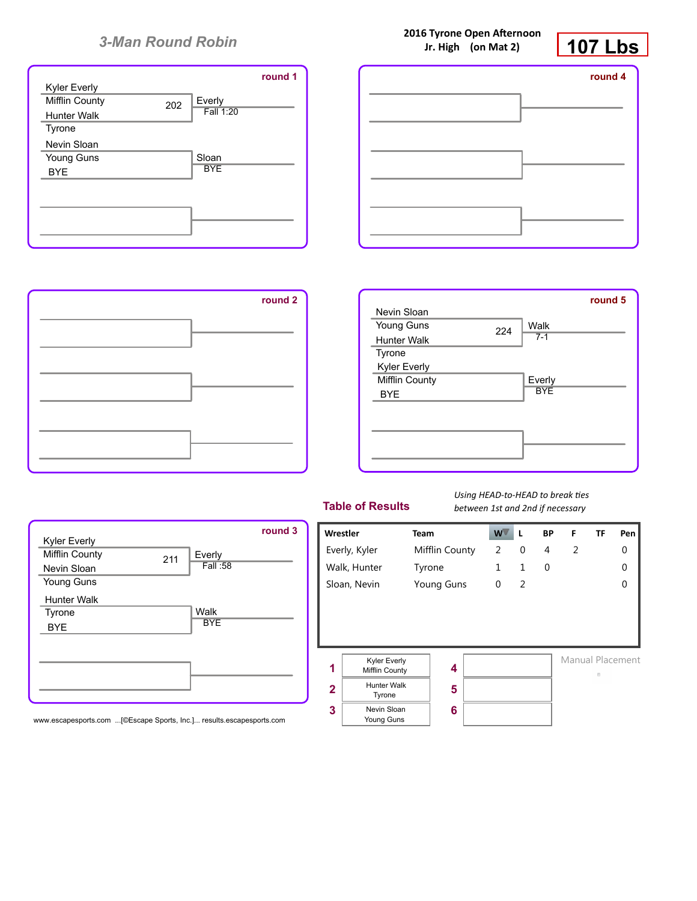





| round <sub>2</sub> |                     |     |            | round 5 |
|--------------------|---------------------|-----|------------|---------|
|                    | Nevin Sloan         |     |            |         |
|                    | Young Guns          | 224 | Walk       |         |
|                    | Hunter Walk         |     | $7 - 1$    |         |
|                    | Tyrone              |     |            |         |
|                    | <b>Kyler Everly</b> |     |            |         |
|                    | Mifflin County      |     | Everly     |         |
|                    | <b>BYE</b>          |     | <b>BYE</b> |         |
|                    |                     |     |            |         |
|                    |                     |     |            |         |
|                    |                     |     |            |         |
|                    |                     |     |            |         |
|                    |                     |     |            |         |
|                    |                     |     |            |         |

| <b>Table of Results</b> |  |  |
|-------------------------|--|--|
|-------------------------|--|--|



www.escapesports.com ...[©Escape Sports, Inc.]... results.escapesports.com

*Using HEAD-to-HEAD to break ties between 1st and 2nd if necessary*

|                          | Wrestler                                                                                    | <b>Team</b>    | W | L              | <b>BP</b> | F | TF                    | Pen      |
|--------------------------|---------------------------------------------------------------------------------------------|----------------|---|----------------|-----------|---|-----------------------|----------|
|                          | Everly, Kyler                                                                               | Mifflin County | 2 | 0              | 4         | 2 |                       | $\Omega$ |
|                          | Walk, Hunter                                                                                | Tyrone         | 1 | 1              | 0         |   |                       | $\Omega$ |
|                          | Sloan, Nevin<br><b>Young Guns</b>                                                           |                | 0 | $\overline{2}$ |           |   |                       | $\Omega$ |
| 1<br>$\overline{2}$<br>3 | Kyler Everly<br>Mifflin County<br><b>Hunter Walk</b><br>Tyrone<br>Nevin Sloan<br>Young Guns | 4<br>5<br>6    |   |                |           |   | Manual Placement<br>目 |          |

**2016 Tyrone Open Afternoon Jr. High (on Mat 2)**

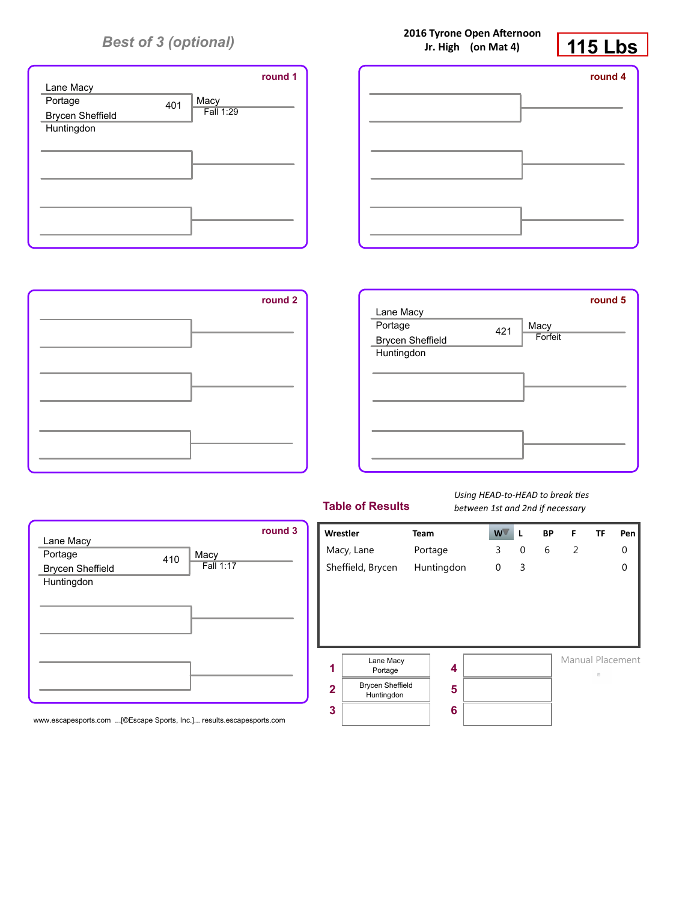

| round 1 | round 4 |
|---------|---------|
|         |         |
|         |         |
|         |         |
|         |         |
|         |         |
|         |         |



 $410$  Macy

Fall 1:17

| round 2 | Lane Macy<br>Portage<br>Macy<br>421<br>Forfeit<br><b>Brycen Sheffield</b><br>Huntingdon | round 5 |
|---------|-----------------------------------------------------------------------------------------|---------|
|         |                                                                                         |         |
|         |                                                                                         |         |

## **Table of Results**

*Using HEAD-to-HEAD to break ties between 1st and 2nd if necessary*



#### www.escapesports.com ...[©Escape Sports, Inc.]... results.escapesports.com

Lane Macy Portage

Brycen Sheffield Huntingdon

**2016 Tyrone Open Afternoon Jr. High (on Mat 4)**

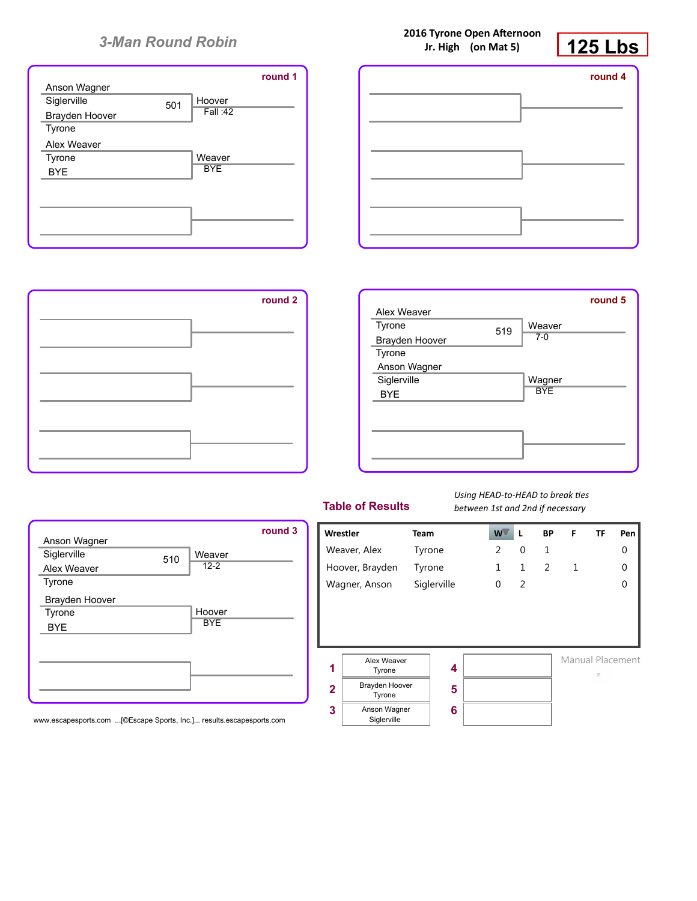|                |     |            | round 1 |
|----------------|-----|------------|---------|
| Anson Wagner   |     |            |         |
| Siglerville    | 501 | Hoover     |         |
| Brayden Hoover |     | Fall:42    |         |
| Tyrone         |     |            |         |
| Alex Weaver    |     |            |         |
| Tyrone         |     | Weaver     |         |
| <b>BYE</b>     |     | <b>BYE</b> |         |
|                |     |            |         |
|                |     |            |         |
|                |     |            |         |
|                |     |            |         |
|                |     |            |         |

|         | $11111811$ ( $0111110177$ | 147 LM  |
|---------|---------------------------|---------|
| round 1 |                           | round 4 |
|         |                           |         |
|         |                           |         |
|         |                           |         |



| round 2 |                |     |            | round 5 |
|---------|----------------|-----|------------|---------|
|         | Alex Weaver    |     |            |         |
|         | Tyrone         | 519 | Weaver     |         |
|         | Brayden Hoover |     | $7 - 0$    |         |
|         | Tyrone         |     |            |         |
|         | Anson Wagner   |     |            |         |
|         | Siglerville    |     | Wagner     |         |
|         | <b>BYE</b>     |     | <b>BYE</b> |         |
|         |                |     |            |         |
|         |                |     |            |         |
|         |                |     |            |         |
|         |                |     |            |         |
|         |                |     |            |         |
|         |                |     |            |         |

| <b>Table of Results</b> |
|-------------------------|
|-------------------------|

*Using HEAD-to-HEAD to break ties between 1st and 2nd if necessary*



| Tyrone<br>BYE | Hoover<br><b>BYE</b> |
|---------------|----------------------|
|               |                      |
|               |                      |
|               |                      |

510

Weaver 12-2

Hoover

Anson Wagner **Siglerville** Alex Weaver Tyrone

Brayden Hoover

www.escapesports.com ...[©Escape Sports, Inc.]... results.escapesports.com

**2016 Tyrone Open Afternoon Jr. High (on Mat 5)**

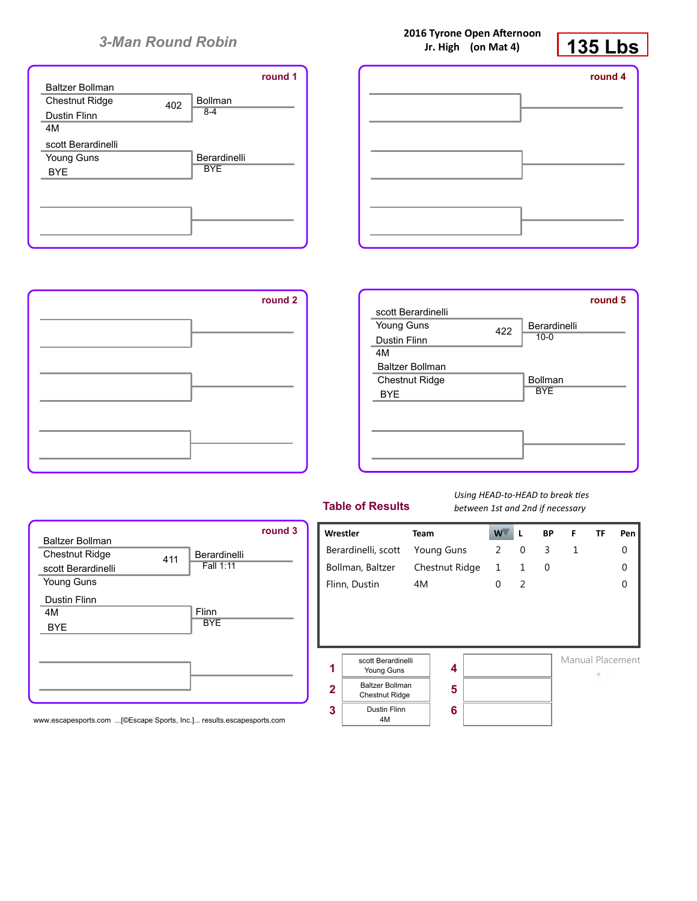|                        |     |                | round 1 |
|------------------------|-----|----------------|---------|
| <b>Baltzer Bollman</b> |     |                |         |
| <b>Chestnut Ridge</b>  | 402 | <b>Bollman</b> |         |
| <b>Dustin Flinn</b>    |     | $8 - 4$        |         |
| 4M                     |     |                |         |
| scott Berardinelli     |     |                |         |
| Young Guns             |     | Berardinelli   |         |
| <b>BYF</b>             |     | <b>BYE</b>     |         |
|                        |     |                |         |
|                        |     |                |         |
|                        |     |                |         |
|                        |     |                |         |
|                        |     |                |         |





411

Berardinelli Fall 1:11

Flinn **BYE** 



|  | <b>Table of Results</b> |  |  |
|--|-------------------------|--|--|
|  |                         |  |  |

*Using HEAD-to-HEAD to break ties between 1st and 2nd if necessary*



www.escapesports.com ...[©Escape Sports, Inc.]... results.escapesports.com

Baltzer Bollman Chestnut Ridge scott Berardinelli Young Guns

Dustin Flinn 4M BYE

**2016 Tyrone Open Afternoon**

**135 Lbs**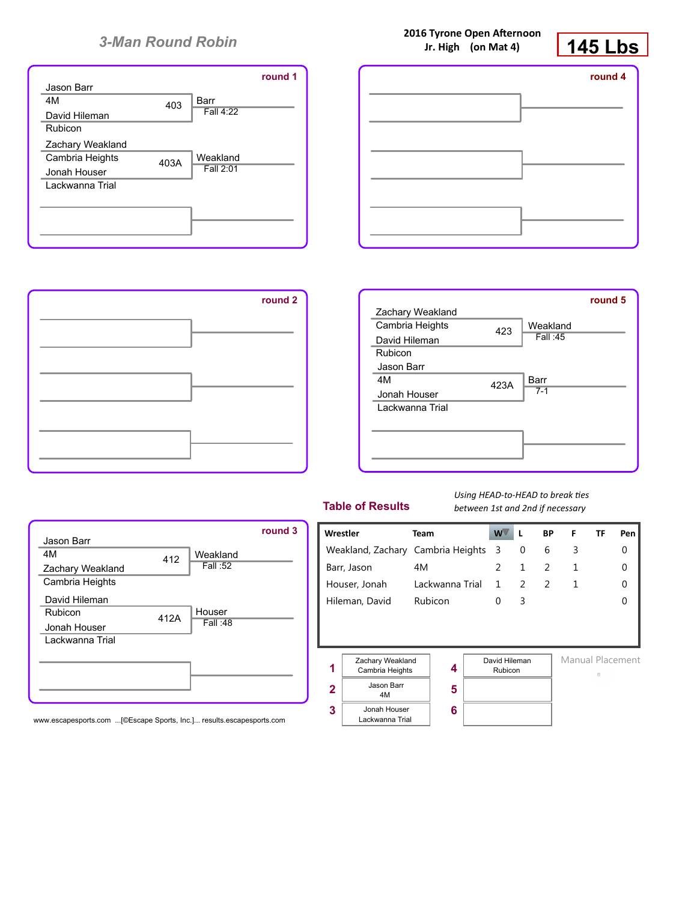



**2016 Tyrone Open Afternoon**



412

Weakland Fall :52

Houser Fall :48

412A



| <b>Table of Results</b> |
|-------------------------|
|-------------------------|

*Using HEAD-to-HEAD to break ties between 1st and 2nd if necessary*



www.escapesports.com ...[©Escape Sports, Inc.]... results.escapesports.com

Jason Barr 4M

Zachary Weakland Cambria Heights

David Hileman Rubicon Jonah Houser Lackwanna Trial **Jr. High (on Mat 4)**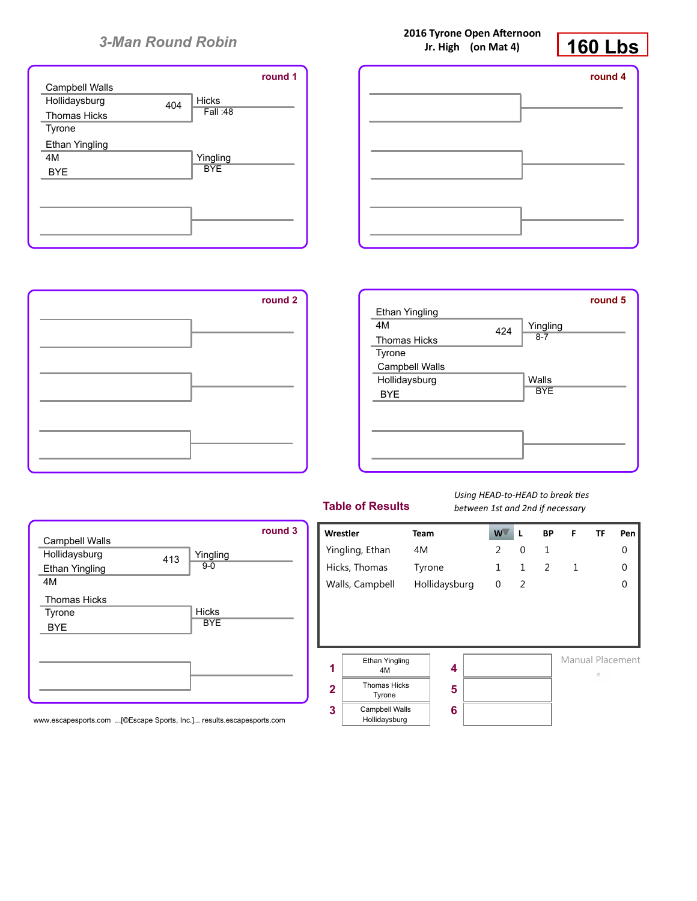



**2016 Tyrone Open Afternoon**



413

Yingling 9-0

Hicks **BYE** 

| round 2 |                       |     |            | round 5 |
|---------|-----------------------|-----|------------|---------|
|         | <b>Ethan Yingling</b> |     |            |         |
|         | 4M                    | 424 | Yingling   |         |
|         | <b>Thomas Hicks</b>   |     | $8 - 7$    |         |
|         | Tyrone                |     |            |         |
|         | Campbell Walls        |     |            |         |
|         | Hollidaysburg         |     | Walls      |         |
|         | <b>BYE</b>            |     | <b>BYE</b> |         |
|         |                       |     |            |         |
|         |                       |     |            |         |
|         |                       |     |            |         |
|         |                       |     |            |         |
|         |                       |     |            |         |

| <b>Table of Results</b> |  |  |
|-------------------------|--|--|
|                         |  |  |

*Using HEAD-to-HEAD to break ties between 1st and 2nd if necessary*



www.escapesports.com ...[©Escape Sports, Inc.]... results.escapesports.com

Campbell Walls **Hollidaysburg** Ethan Yingling

Thomas Hicks Tyrone BYE

4M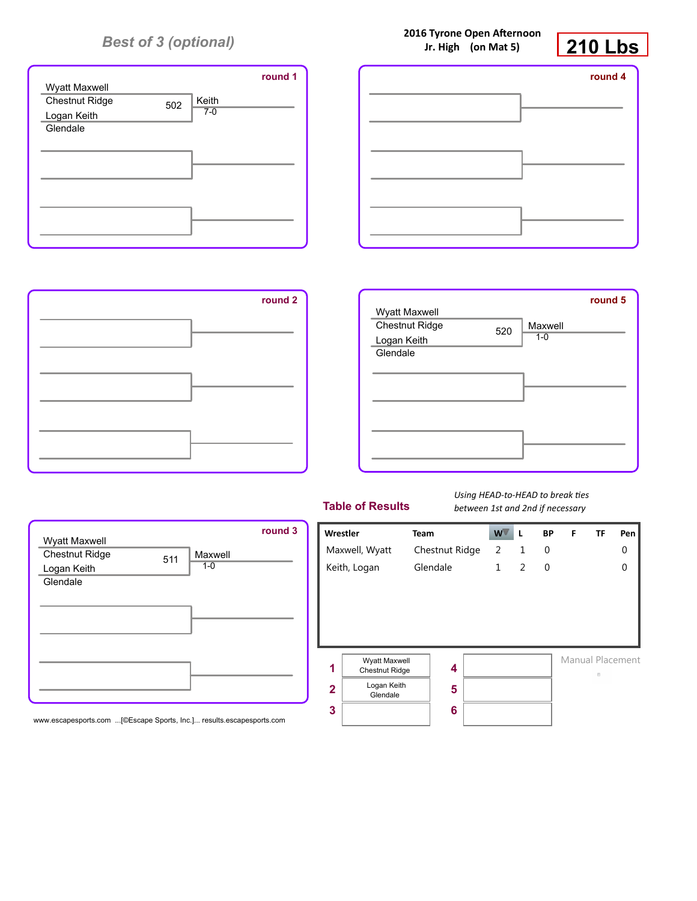





| Wyatt Maxwell           |     |                    | round 5 |
|-------------------------|-----|--------------------|---------|
| <b>Chestnut Ridge</b>   | 520 | Maxwell<br>$1 - 0$ |         |
| Logan Keith<br>Glendale |     |                    |         |
|                         |     |                    |         |
|                         |     |                    |         |
|                         |     |                    |         |
|                         |     |                    |         |
|                         |     |                    |         |

|  |  |  | <b>Table of Results</b> |
|--|--|--|-------------------------|
|  |  |  |                         |

*Using HEAD-to-HEAD to break ties between 1st and 2nd if necessary*



www.escapesports.com ...[©Escape Sports, Inc.]... results.escapesports.com

| $DCLWCLII$ is the direction of the constant $\lambda$ |                         |                |    |   |           |   |                  |          |
|-------------------------------------------------------|-------------------------|----------------|----|---|-----------|---|------------------|----------|
| Wrestler                                              |                         | <b>Team</b>    | w. | L | <b>BP</b> | F | <b>TF</b>        | Pen      |
|                                                       | Maxwell, Wyatt          | Chestnut Ridge | 2  | 1 | 0         |   |                  | 0        |
|                                                       | Keith, Logan            | Glendale       |    | 2 | 0         |   |                  | $\Omega$ |
|                                                       |                         |                |    |   |           |   |                  |          |
|                                                       |                         |                |    |   |           |   |                  |          |
|                                                       |                         |                |    |   |           |   |                  |          |
|                                                       |                         |                |    |   |           |   |                  |          |
|                                                       | Wyatt Maxwell           |                |    |   |           |   | Manual Placement |          |
| 1                                                     | Chestnut Ridge          | 4              |    |   |           |   | 四                |          |
| $\mathbf{2}$                                          | Logan Keith<br>Glendale | 5              |    |   |           |   |                  |          |
| 3                                                     |                         | 6              |    |   |           |   |                  |          |

## **2016 Tyrone Open Afternoon Jr. High (on Mat 5)**

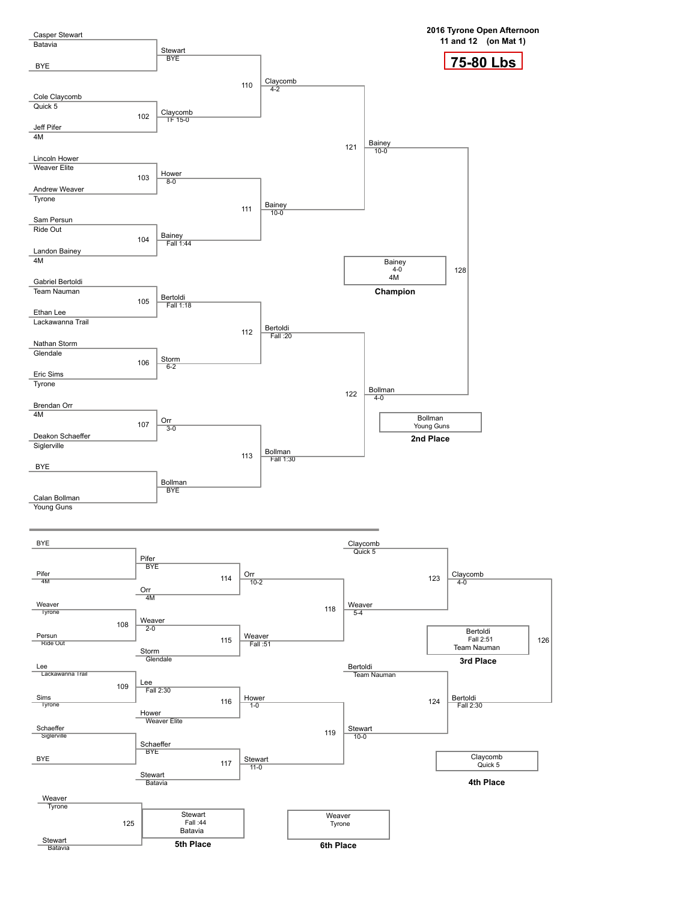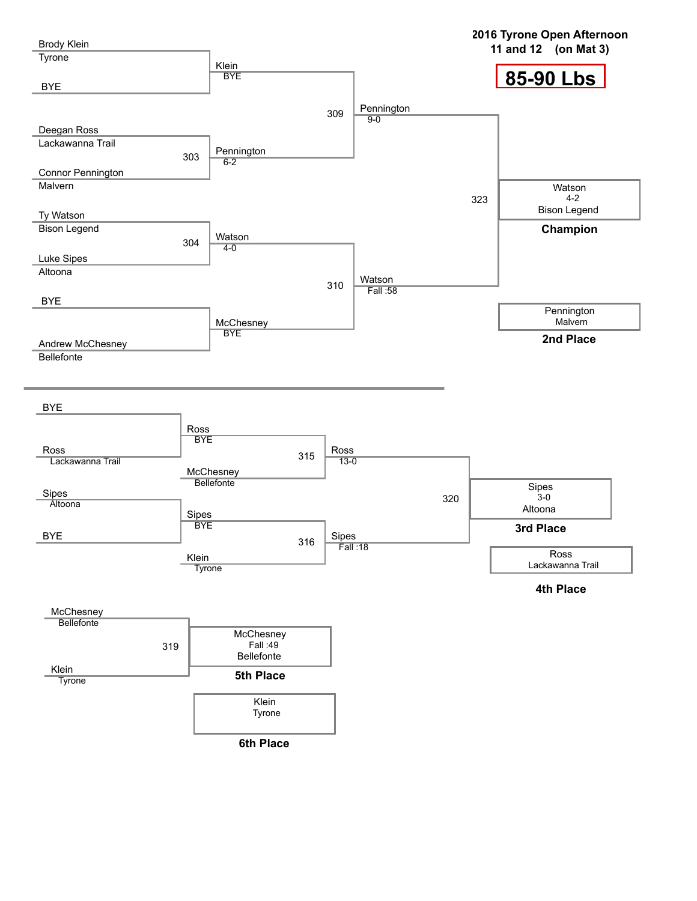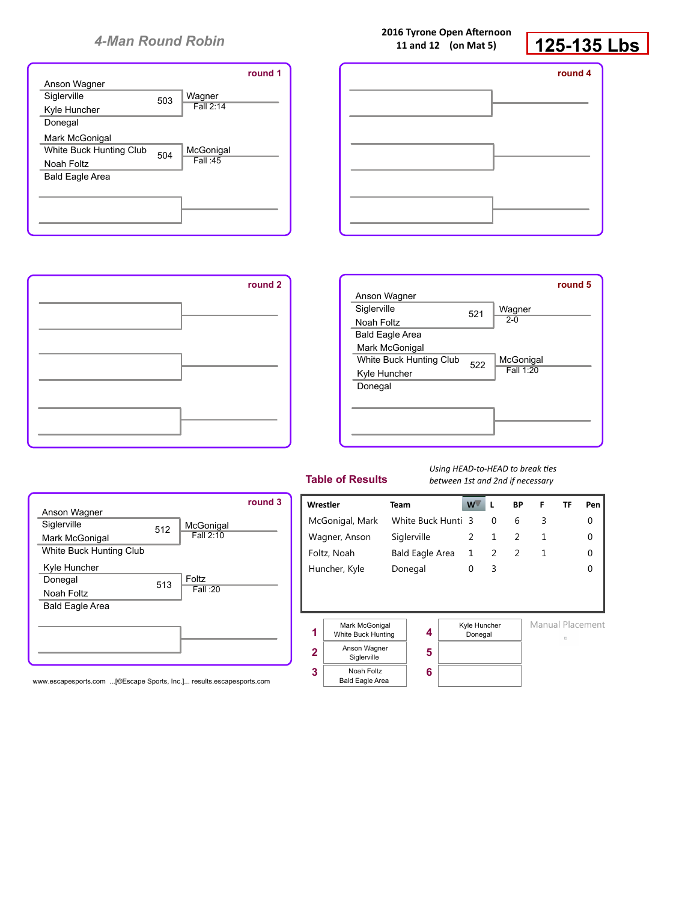|                         |     |           | round 1 |
|-------------------------|-----|-----------|---------|
| Anson Wagner            |     |           |         |
| Siglerville             | 503 | Wagner    |         |
| Kyle Huncher            |     | Fall 2:14 |         |
| Donegal                 |     |           |         |
| Mark McGonigal          |     |           |         |
| White Buck Hunting Club | 504 | McGonigal |         |
| Noah Foltz              |     | Fall: 45  |         |
| <b>Bald Eagle Area</b>  |     |           |         |
|                         |     |           |         |
|                         |     |           |         |
|                         |     |           |         |
|                         |     |           |         |



#### **2016 Tyrone Open Afternoon 11 and 12 (on Mat 5)**



| round 1 |  | round 4 |
|---------|--|---------|
|         |  |         |
|         |  |         |
|         |  |         |
|         |  |         |
|         |  |         |
|         |  |         |

|                         |     |           | round 5 |
|-------------------------|-----|-----------|---------|
| Anson Wagner            |     |           |         |
| Siglerville             | 521 | Wagner    |         |
| Noah Foltz              |     | $2 - 0$   |         |
| <b>Bald Eagle Area</b>  |     |           |         |
| Mark McGonigal          |     |           |         |
| White Buck Hunting Club | 522 | McGonigal |         |
| Kyle Huncher            |     | Fall 1:20 |         |
| Donegal                 |     |           |         |
|                         |     |           |         |
|                         |     |           |         |
|                         |     |           |         |
|                         |     |           |         |

#### **Table of Results**

#### *Using HEAD-to-HEAD to break ties between 1st and 2nd if necessary*

|                         |     |              | round 3 |
|-------------------------|-----|--------------|---------|
| Anson Wagner            |     |              |         |
| Siglerville             | 512 | McGonigal    |         |
| Mark McGonigal          |     | Fall 2:10    |         |
| White Buck Hunting Club |     |              |         |
| Kyle Huncher            |     |              |         |
| Donegal                 | 513 | <b>Foltz</b> |         |
| Noah Foltz              |     | Fall: 20     |         |
| <b>Bald Eagle Area</b>  |     |              |         |
|                         |     |              |         |
|                         |     |              |         |
|                         |     |              |         |
|                         |     |              |         |

www.escapesports.com ...[©Escape Sports, Inc.]... results.escapesports.com

| Wrestler |                                      | Team               | W <sup></sup>           | L        | BP | F                | TF | Pen      |
|----------|--------------------------------------|--------------------|-------------------------|----------|----|------------------|----|----------|
|          | McGonigal, Mark                      | White Buck Hunti 3 |                         | $\Omega$ | 6  | 3                |    | 0        |
|          | Wagner, Anson                        | Siglerville        | 2                       | 1        | 2  | 1                |    | $\Omega$ |
|          | Foltz, Noah                          | Bald Eagle Area    | 1                       | 2        | 2  | 1                |    | $\Omega$ |
|          | Huncher, Kyle                        | Donegal            | $\Omega$                | 3        |    |                  |    | $\Omega$ |
|          |                                      |                    |                         |          |    |                  |    |          |
|          |                                      |                    |                         |          |    |                  |    |          |
|          |                                      |                    |                         |          |    | Manual Placement |    |          |
| 1        | Mark McGonigal<br>White Buck Hunting | 4                  | Kyle Huncher<br>Donegal |          |    |                  | 户  |          |
| 2        | Anson Wagner<br>Siglerville          | 5                  |                         |          |    |                  |    |          |
| 3        | Noah Foltz<br><b>Bald Eagle Area</b> | 6                  |                         |          |    |                  |    |          |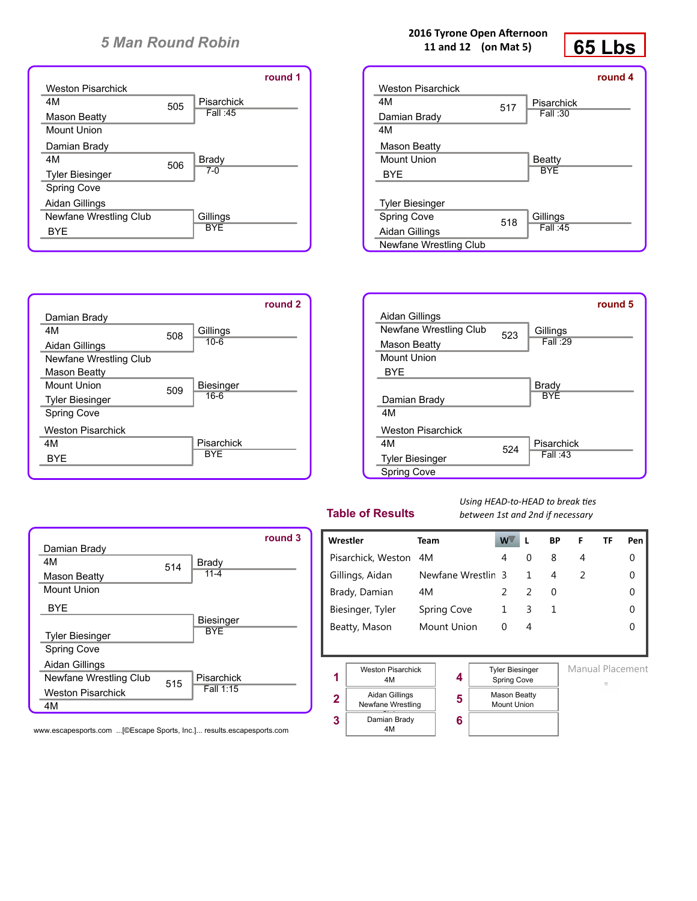|                          |     |              | round 1 |
|--------------------------|-----|--------------|---------|
| <b>Weston Pisarchick</b> |     |              |         |
| 4M                       | 505 | Pisarchick   |         |
| Mason Beatty             |     | Fall :45     |         |
| <b>Mount Union</b>       |     |              |         |
| Damian Brady             |     |              |         |
| 4M                       | 506 | <b>Brady</b> |         |
| <b>Tyler Biesinger</b>   |     | $7-0$        |         |
| <b>Spring Cove</b>       |     |              |         |
| Aidan Gillings           |     |              |         |
| Newfane Wrestling Club   |     | Gillings     |         |
| <b>BYF</b>               |     | <b>BYF</b>   |         |
|                          |     |              |         |

508

509

Damian Brady

Aidan Gillings

Mason Beatty Mount Union Tyler Biesinger Spring Cove

Weston Pisarchick

Newfane Wrestling Club

4M

4M BYE





**round 5**

|                          |     |            | round 4 |
|--------------------------|-----|------------|---------|
| <b>Weston Pisarchick</b> |     |            |         |
| 4M                       | 517 | Pisarchick |         |
| Damian Brady             |     | Fall: 30   |         |
| 4M                       |     |            |         |
| Mason Beatty             |     |            |         |
| <b>Mount Union</b>       |     | Beatty     |         |
| <b>BYE</b>               |     | <b>BYF</b> |         |
|                          |     |            |         |
| <b>Tyler Biesinger</b>   |     |            |         |
| <b>Spring Cove</b>       | 518 | Gillings   |         |
| Aidan Gillings           |     | Fall : 45  |         |
| Newfane Wrestling Club   |     |            |         |



## **Table of Results**

*Using HEAD-to-HEAD to break ties between 1st and 2nd if necessary*

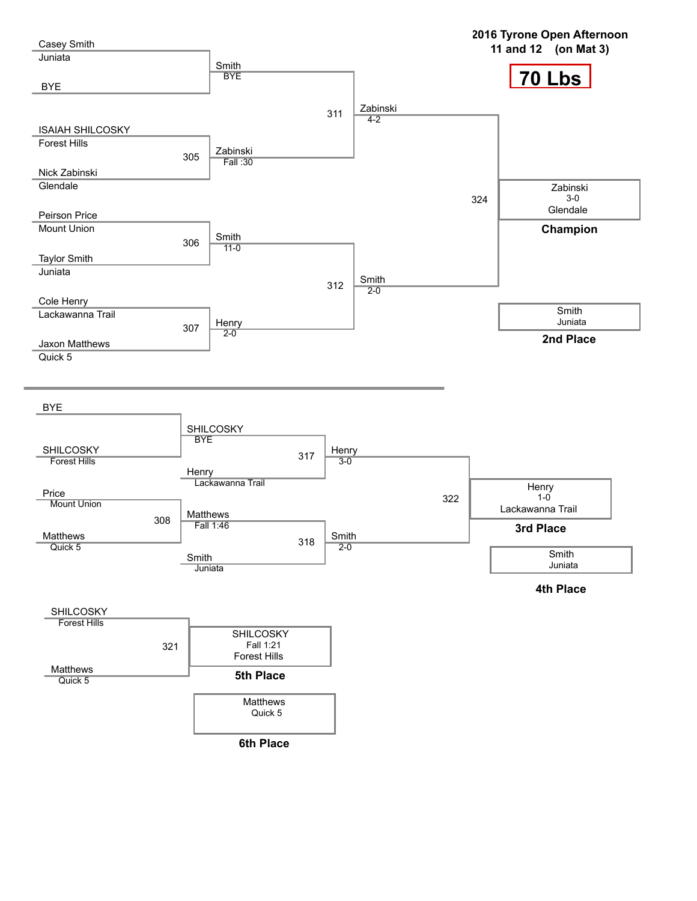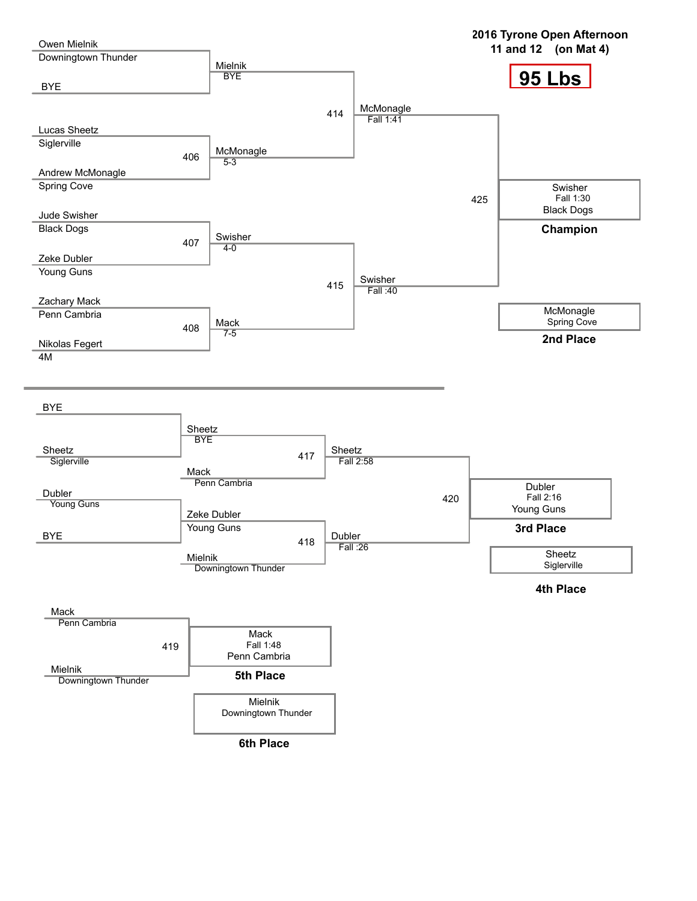**95 Lbs 2016 Tyrone Open Afternoon 11 and 12 (on Mat 4)** Owen Mielnik Downingtown Thunder BYE Lucas Sheetz **Siglerville** 406 Andrew McMonagle Spring Cove Jude Swisher Black Dogs 407 Zeke Dubler Young Guns Zachary Mack Penn Cambria 408 Nikolas Fegert 4M Mielnik **BYE** 414 McMonagle 5-3 Swisher  $4 - 0$ 415 Mack 7-5 McMonagle Fall 1:41 425 Swisher Fall :40 Swisher Fall 1:30 Black Dogs McMonagle Spring Cove **Champion 2nd Place** BYE Sheetz **Siglerville** Dubler Young Guns BYE Ī Sheetz **BYE** 417 Mack Penn Cambria Zeke Dubler Young Guns 418 Mielnik Downingtown Thunder Sheetz Fall 2:58 420 Dubler Fall :26 Dubler Fall 2:16 Young Guns **3rd Place** Sheetz **Siglerville 4th Place** Mack Penn Cambria 419 Mielnik Downingtown Thunder Mack Fall 1:48 Penn Cambria **5th Place** Mielnik Downingtown Thunder **6th Place**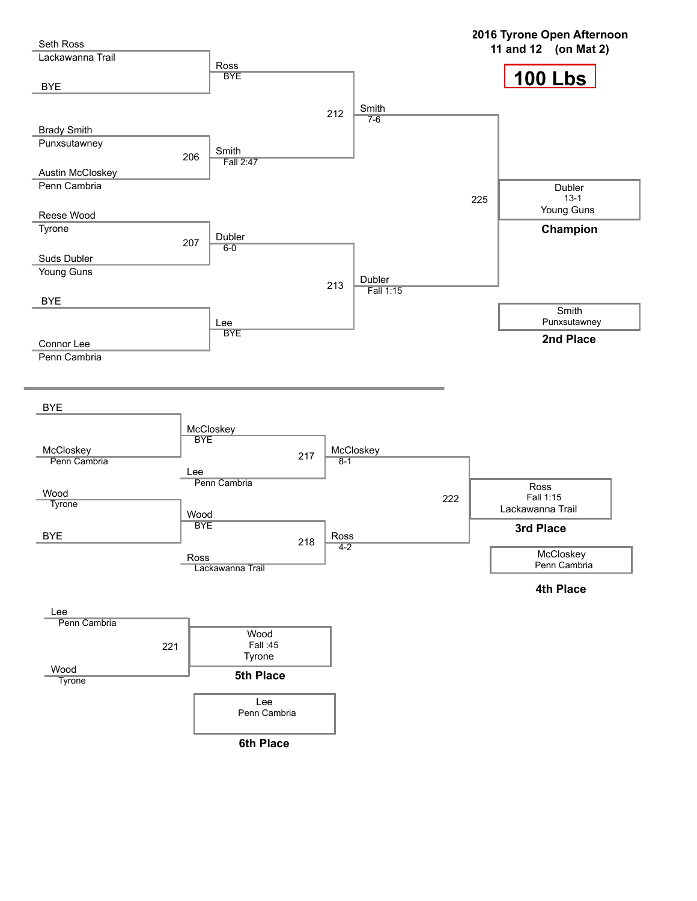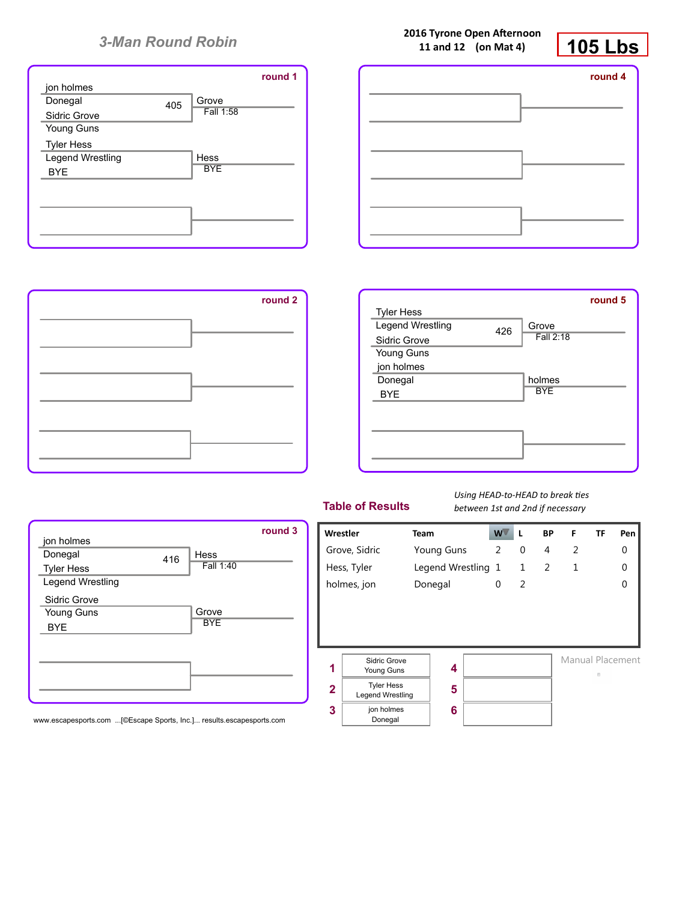





|                   |     |            | round 5 |
|-------------------|-----|------------|---------|
| <b>Tyler Hess</b> |     |            |         |
| Legend Wrestling  | 426 | Grove      |         |
| Sidric Grove      |     | Fall 2:18  |         |
| Young Guns        |     |            |         |
| jon holmes        |     |            |         |
| Donegal           |     | holmes     |         |
| <b>BYE</b>        |     | <b>BYE</b> |         |
|                   |     |            |         |
|                   |     |            |         |
|                   |     |            |         |
|                   |     |            |         |
|                   |     |            |         |

|                   |     |            | round 3 |
|-------------------|-----|------------|---------|
| jon holmes        |     |            |         |
| Donegal           | 416 | Hess       |         |
| <b>Tyler Hess</b> |     | Fall 1:40  |         |
| Legend Wrestling  |     |            |         |
| Sidric Grove      |     |            |         |
| Young Guns        |     | Grove      |         |
| <b>BYE</b>        |     | <b>BYE</b> |         |
|                   |     |            |         |
|                   |     |            |         |
|                   |     |            |         |
|                   |     |            |         |
|                   |     |            |         |

www.escapesports.com ...[©Escape Sports, Inc.]... results.escapesports.com

## **Table of Results**

*Using HEAD-to-HEAD to break ties between 1st and 2nd if necessary*

| <b>Wrestler</b> |                                              | <b>Team</b>        | w۱ | L              | <b>BP</b> | F | TF               | Pen      |
|-----------------|----------------------------------------------|--------------------|----|----------------|-----------|---|------------------|----------|
|                 | Grove, Sidric                                | <b>Young Guns</b>  | 2  | 0              | 4         | 2 |                  | 0        |
|                 | Hess, Tyler                                  | Legend Wrestling 1 |    | $\mathbf{1}$   | 2         | 1 |                  | $\Omega$ |
|                 | holmes, jon                                  | Donegal            | 0  | $\overline{2}$ |           |   |                  | $\Omega$ |
|                 | Sidric Grove                                 |                    |    |                |           |   | Manual Placement |          |
| 1               | Young Guns                                   | 4                  |    |                |           |   | B                |          |
| $\overline{2}$  | <b>Tyler Hess</b><br><b>Legend Wrestling</b> | 5                  |    |                |           |   |                  |          |
| 3               | jon holmes<br>Donegal                        | 6                  |    |                |           |   |                  |          |

**2016 Tyrone Open Afternoon 11 and 12 (on Mat 4)**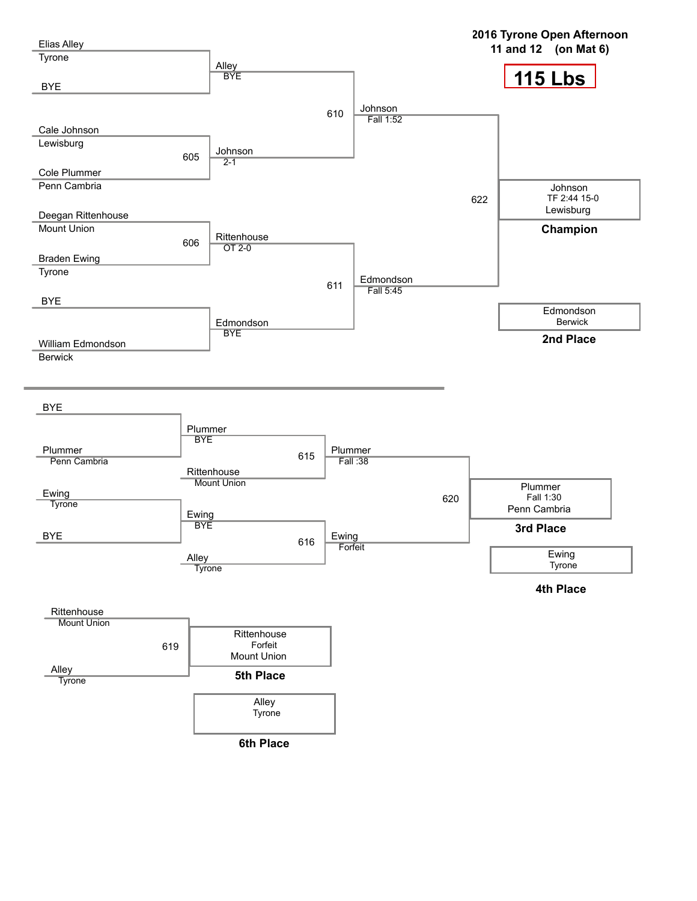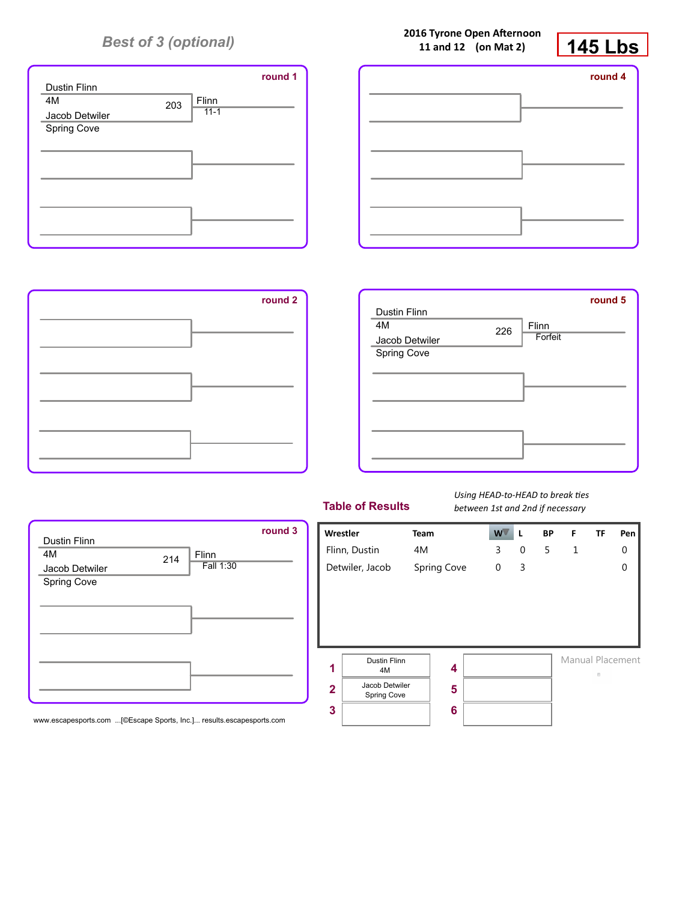

| <b><i>LUTE INTOITE OPEN HITERHOOD</i></b><br>11 and 12 (on Mat 2) | <b>145 Lbs</b> |
|-------------------------------------------------------------------|----------------|
|                                                                   | round 4        |
|                                                                   |                |
|                                                                   |                |
|                                                                   |                |
|                                                                   |                |
|                                                                   |                |

**2016 Tyrone Open Afternoon**



Dustin Flinn

4M

| round 2 | <b>Dustin Flinn</b><br>4M<br>Jacob Detwiler<br>Spring Cove | 226 | Flinn<br>Forfeit | round 5 |
|---------|------------------------------------------------------------|-----|------------------|---------|
|         |                                                            |     |                  |         |
|         |                                                            |     |                  |         |

## **Table of Results**

*Using HEAD-to-HEAD to break ties between 1st and 2nd if necessary*

Manual Placement

 $\alpha$ 

5 1 0

0

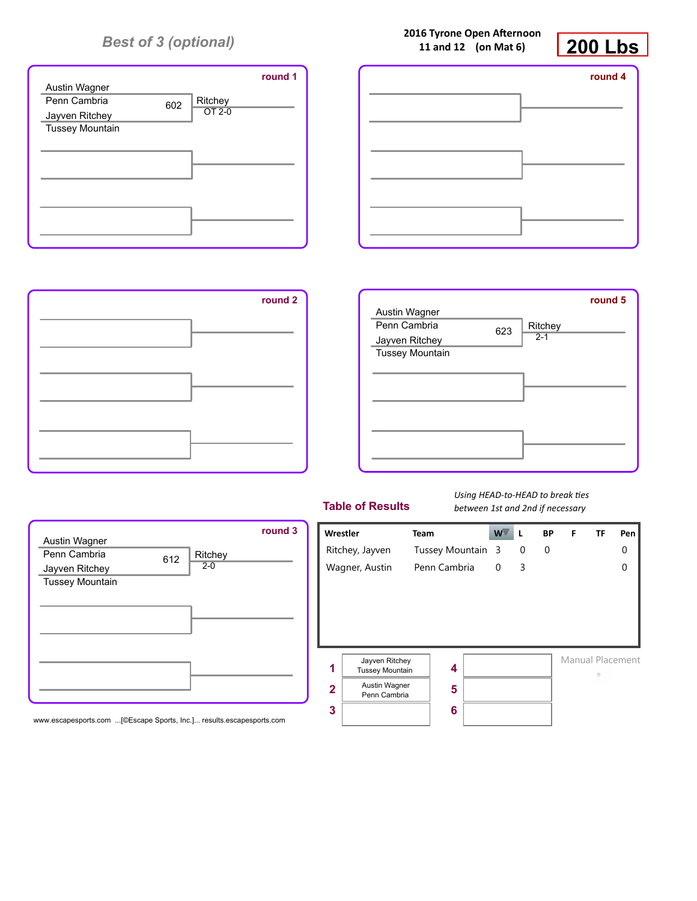

| round 1 | round 4 |
|---------|---------|
|         |         |
|         |         |
|         |         |
|         |         |
|         |         |
|         |         |



612 Ritchey  $2 - 0$ 

| round 2 | Austin Wagner<br>Penn Cambria<br>Jayven Ritchey<br><b>Tussey Mountain</b> | 623 | round 5<br>Ritchey<br>$2 - 1$ |
|---------|---------------------------------------------------------------------------|-----|-------------------------------|
|         |                                                                           |     |                               |
|         |                                                                           |     |                               |

## **Table of Results**

*Using HEAD-to-HEAD to break ties between 1st and 2nd if necessary*



www.escapesports.com ...[©Escape Sports, Inc.]... results.escapesports.com

Austin Wagner Penn Cambria Jayven Ritchey Tussey Mountain **2016 Tyrone Open Afternoon 11 and 12 (on Mat 6)**

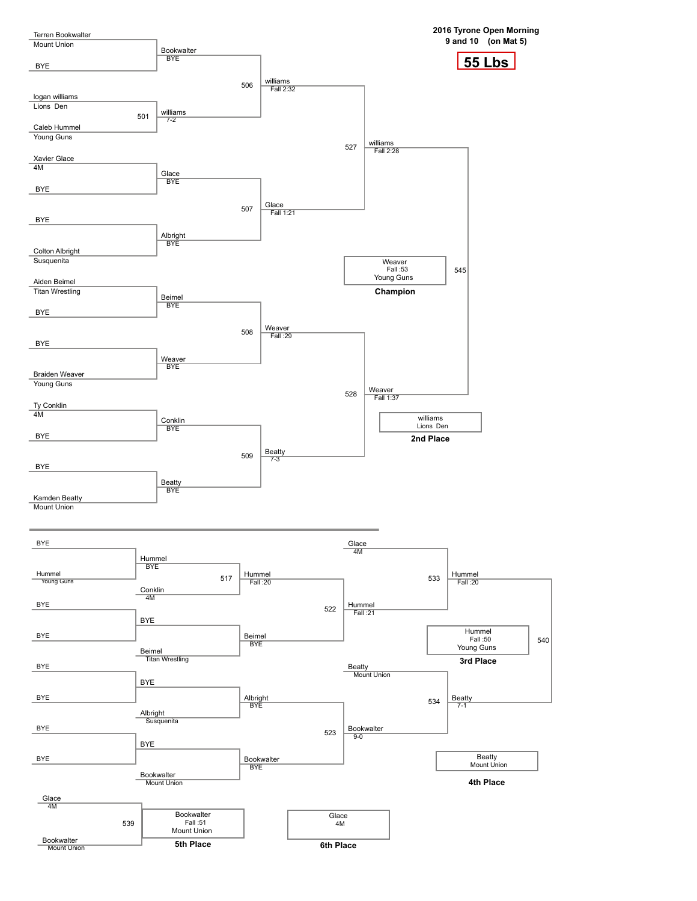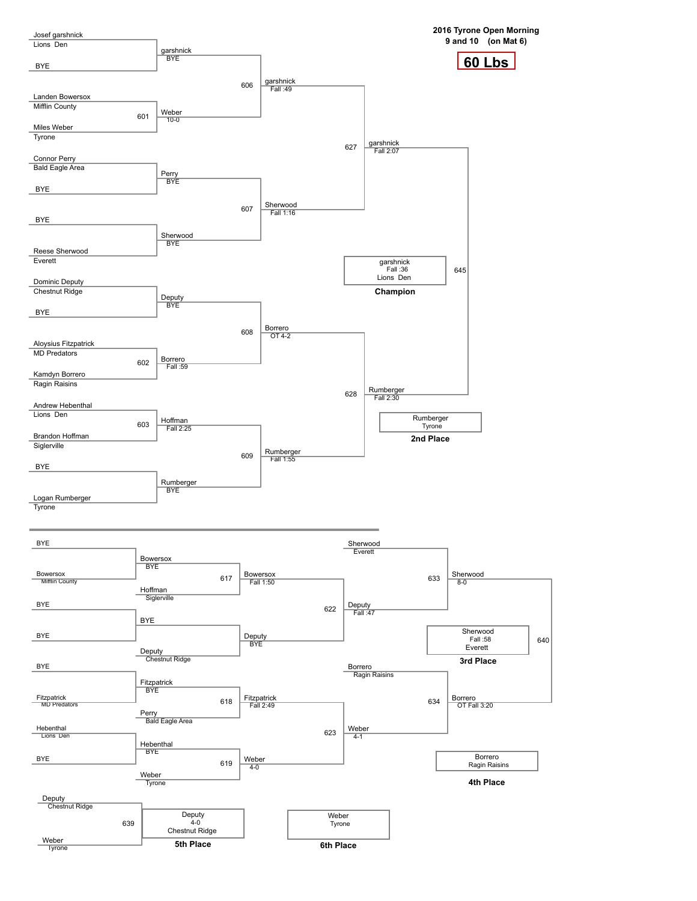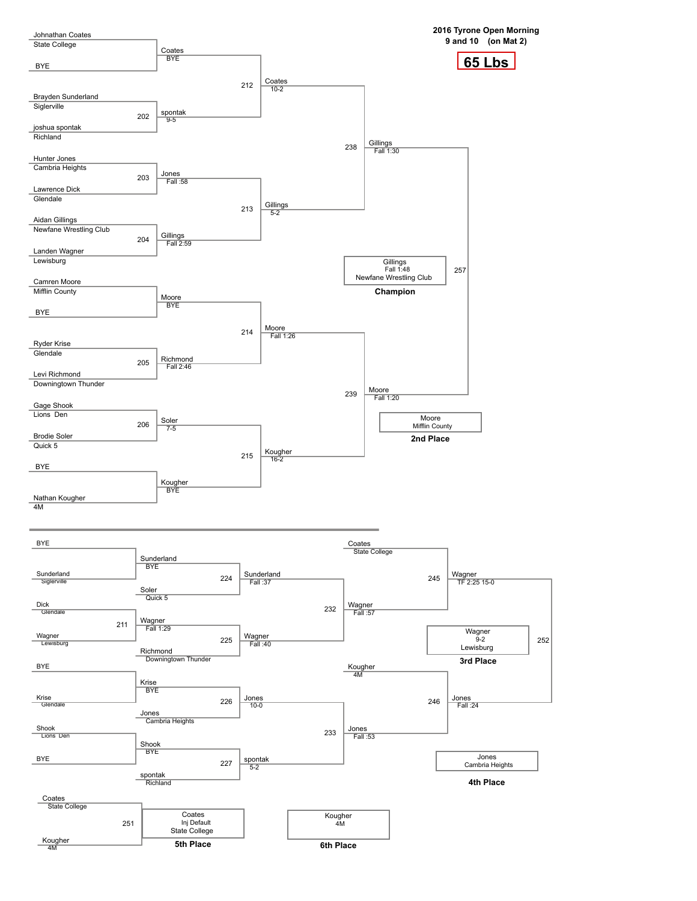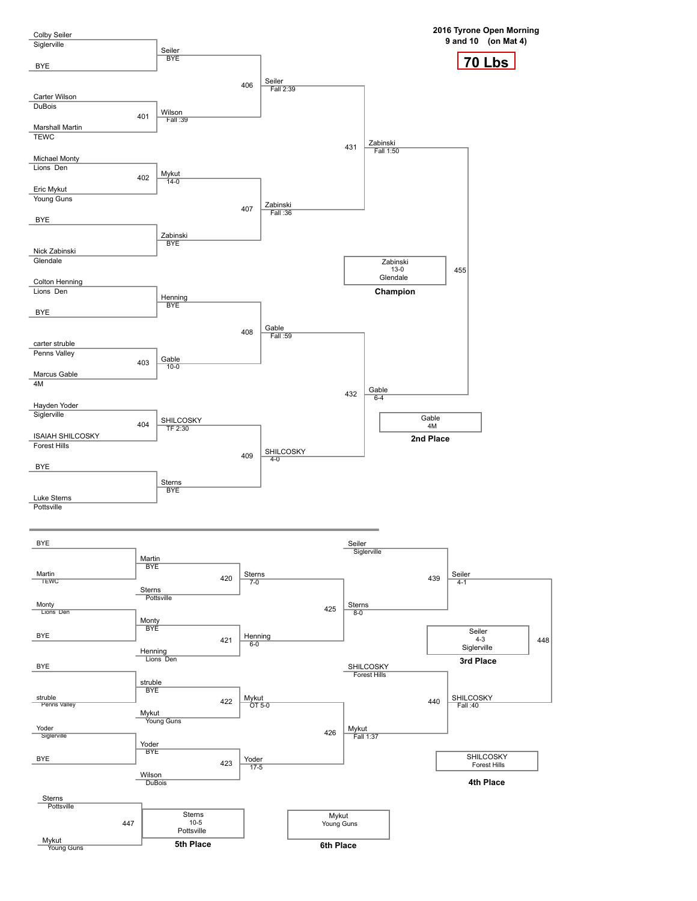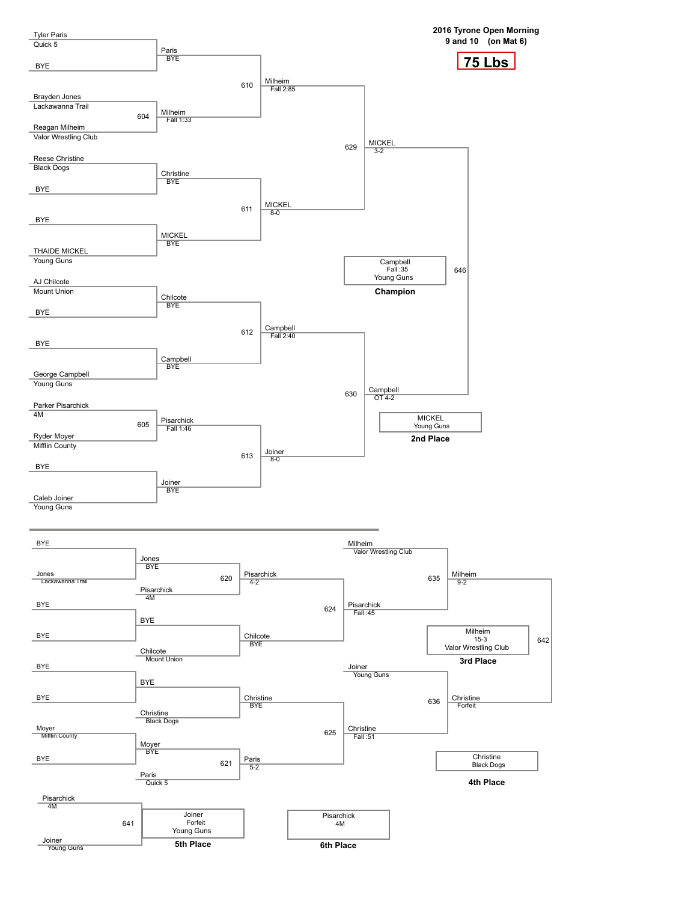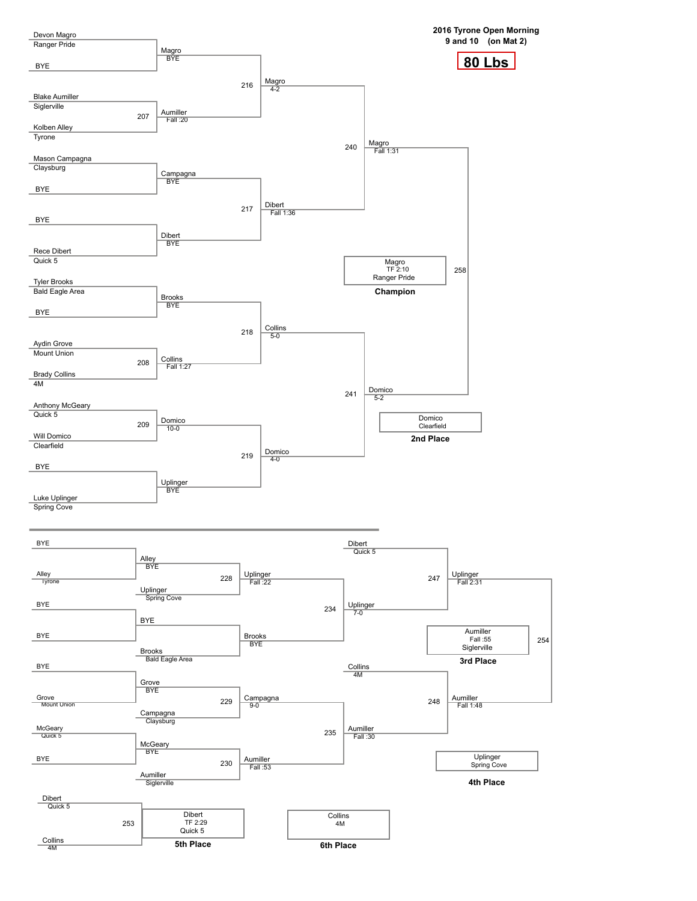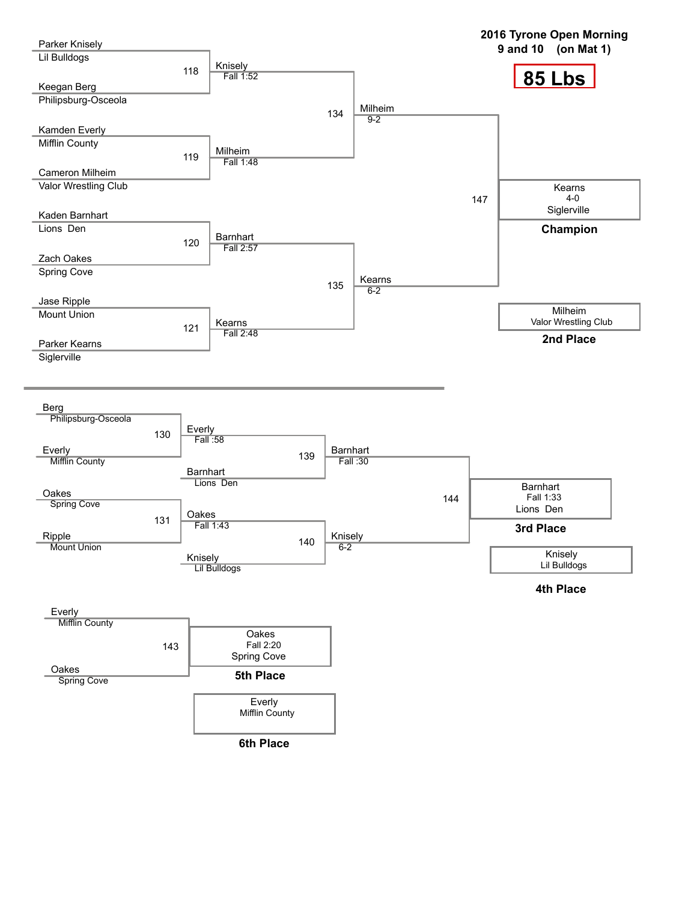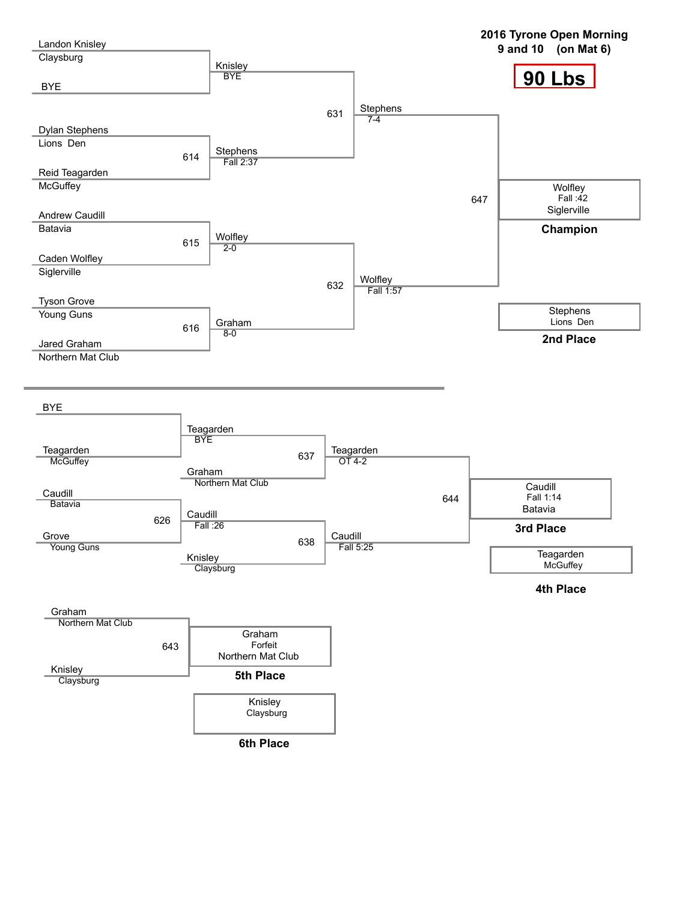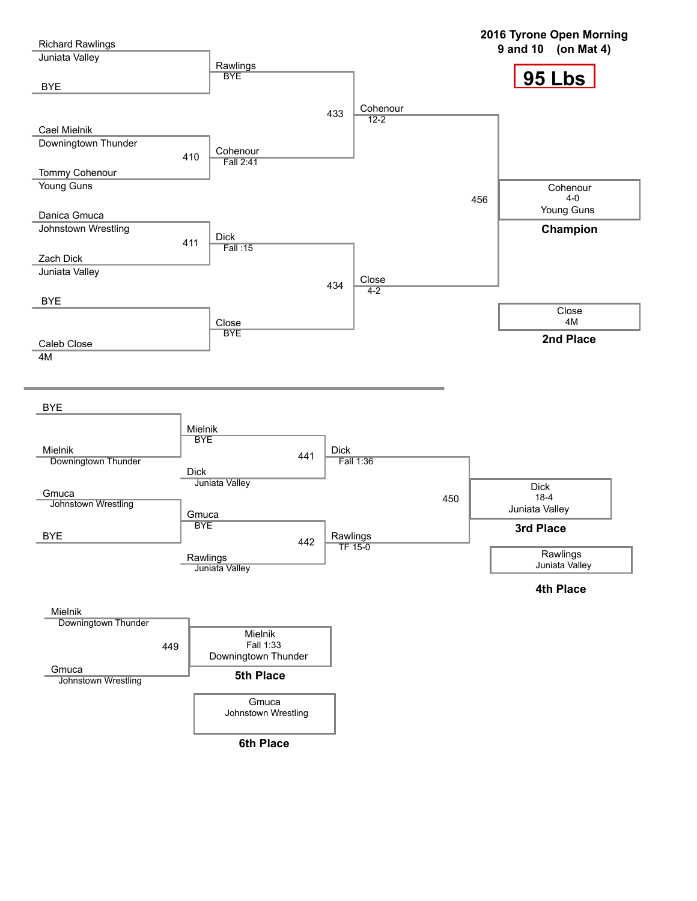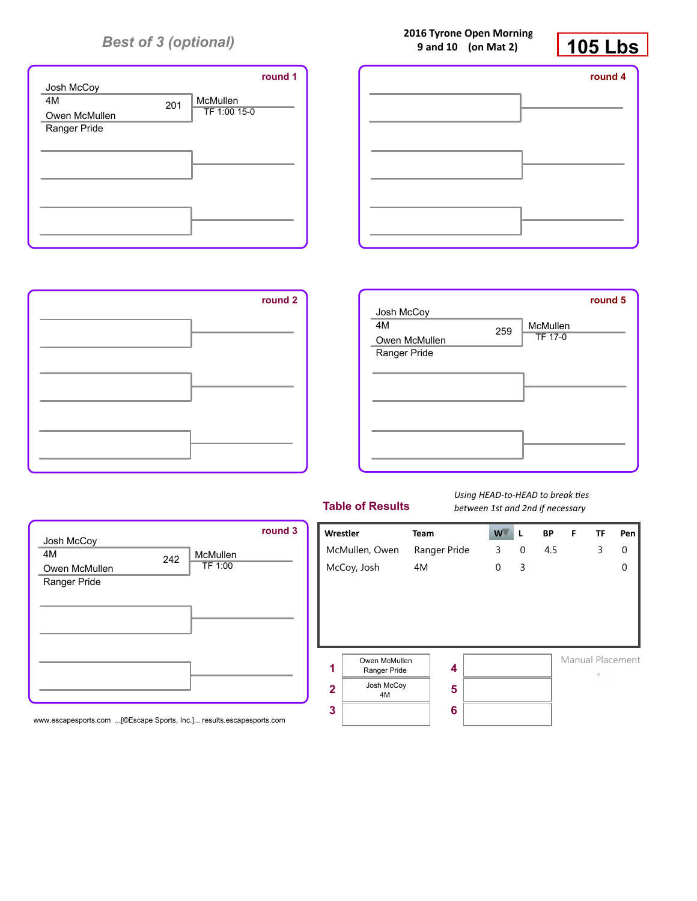

| round 1 | round 4 |
|---------|---------|
|         |         |
|         |         |
|         |         |
|         |         |
|         |         |
|         |         |

**2016 Tyrone Open Morning 9 and 10 (on Mat 2)**



| round 2 |               |     |                | round 5 |
|---------|---------------|-----|----------------|---------|
|         | Josh McCoy    |     |                |         |
|         | 4M            | 259 | McMullen       |         |
|         | Owen McMullen |     | <b>TF 17-0</b> |         |
|         | Ranger Pride  |     |                |         |
|         |               |     |                |         |
|         |               |     |                |         |
|         |               |     |                |         |
|         |               |     |                |         |
|         |               |     |                |         |
|         |               |     |                |         |
|         |               |     |                |         |
|         |               |     |                |         |

## **Table of Results**

*Using HEAD-to-HEAD to break ties between 1st and 2nd if necessary*

3



Manual Placement  $\overline{\mathbb{R}}$  .

4.5 3 0

0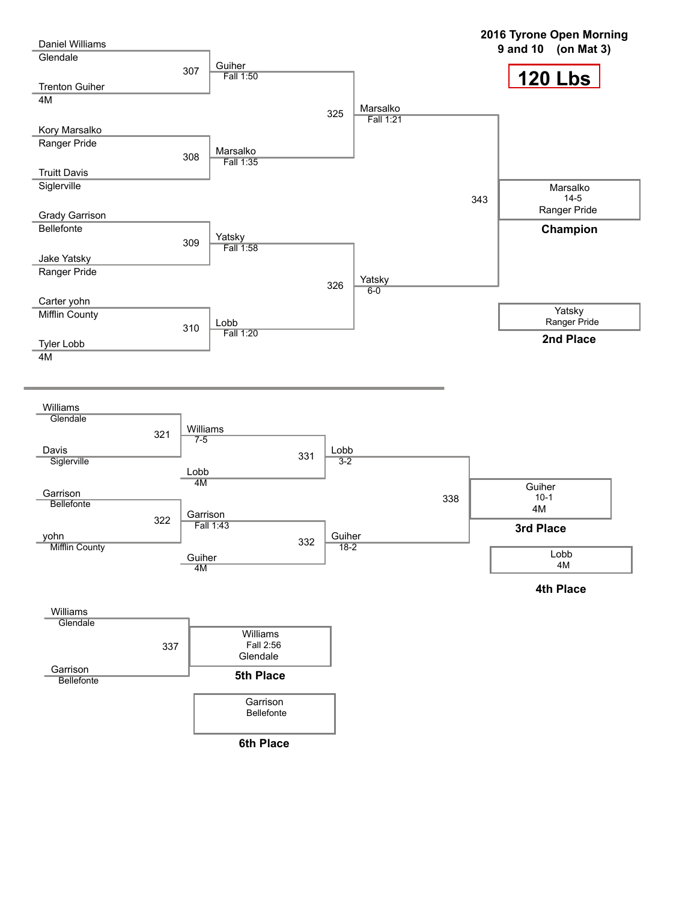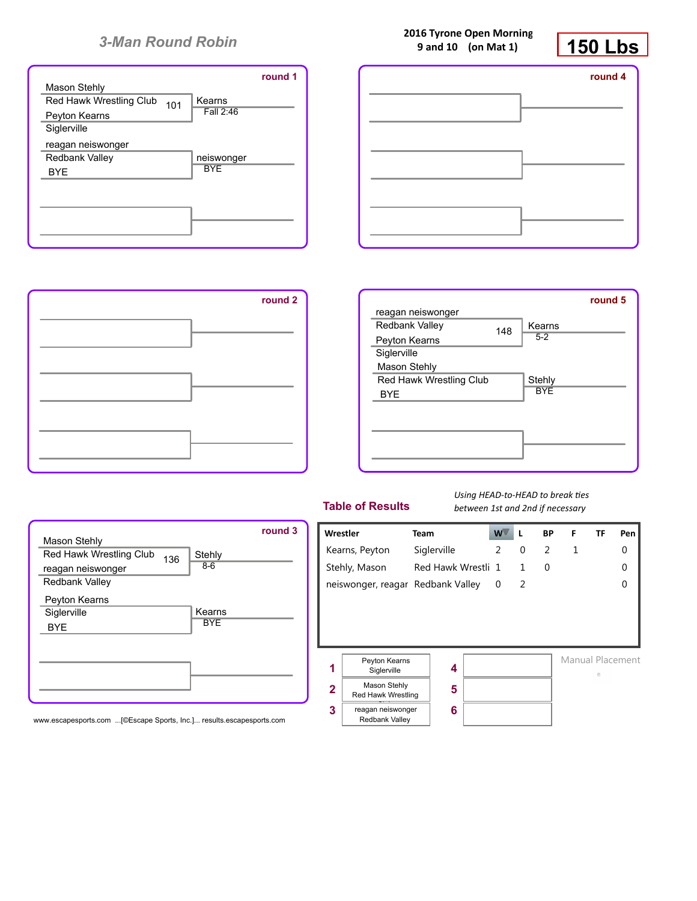|                                          | round 1 |
|------------------------------------------|---------|
| Mason Stehly                             |         |
| Red Hawk Wrestling Club<br>Kearns<br>101 |         |
| Fall 2:46<br>Peyton Kearns               |         |
| Siglerville                              |         |
| reagan neiswonger                        |         |
| <b>Redbank Valley</b><br>neiswonger      |         |
| <b>BYF</b><br><b>BYE</b>                 |         |
|                                          |         |
|                                          |         |
|                                          |         |
|                                          |         |
|                                          |         |





Stehly 8-6

Kearns **BYE** 

| round 2 |                         |     |            | round 5 |
|---------|-------------------------|-----|------------|---------|
|         | reagan neiswonger       |     |            |         |
|         | Redbank Valley          | 148 | Kearns     |         |
|         | Peyton Kearns           |     | $5 - 2$    |         |
|         | Siglerville             |     |            |         |
|         | Mason Stehly            |     |            |         |
|         | Red Hawk Wrestling Club |     | Stehly     |         |
|         | <b>BYE</b>              |     | <b>BYE</b> |         |
|         |                         |     |            |         |
|         |                         |     |            |         |
|         |                         |     |            |         |
|         |                         |     |            |         |
|         |                         |     |            |         |
|         |                         |     |            |         |

| <b>Table of Results</b> |  |  |  |
|-------------------------|--|--|--|
|-------------------------|--|--|--|

*Using HEAD-to-HEAD to break ties between 1st and 2nd if necessary*



www.escapesports.com ...[©Escape Sports, Inc.]... results.escapesports.com

Mason Stehly

reagan neiswonger Redbank Valley Peyton Kearns **Siglerville** BYE

Red Hawk Wrestling Club 136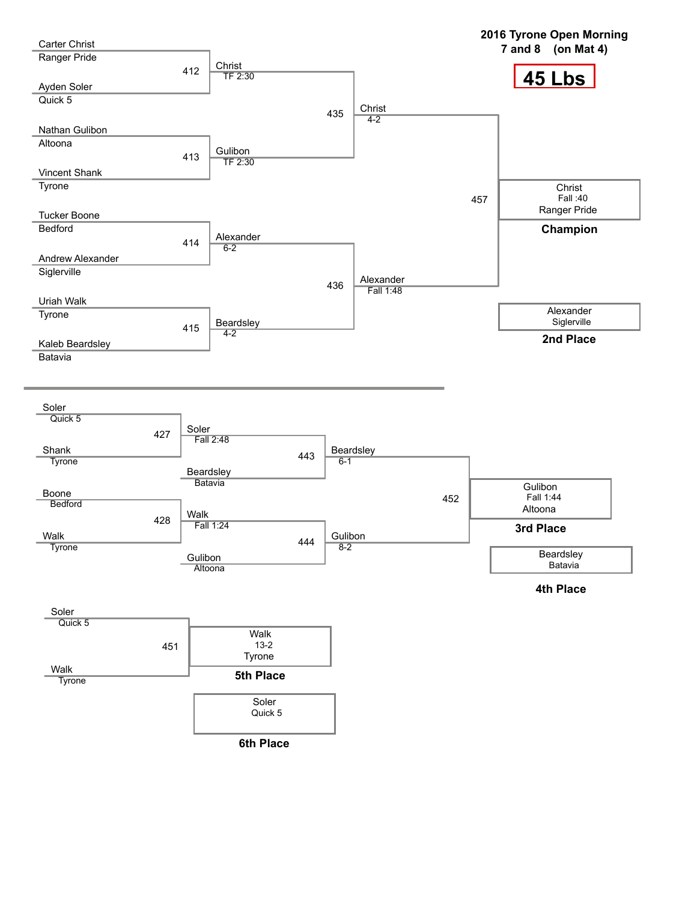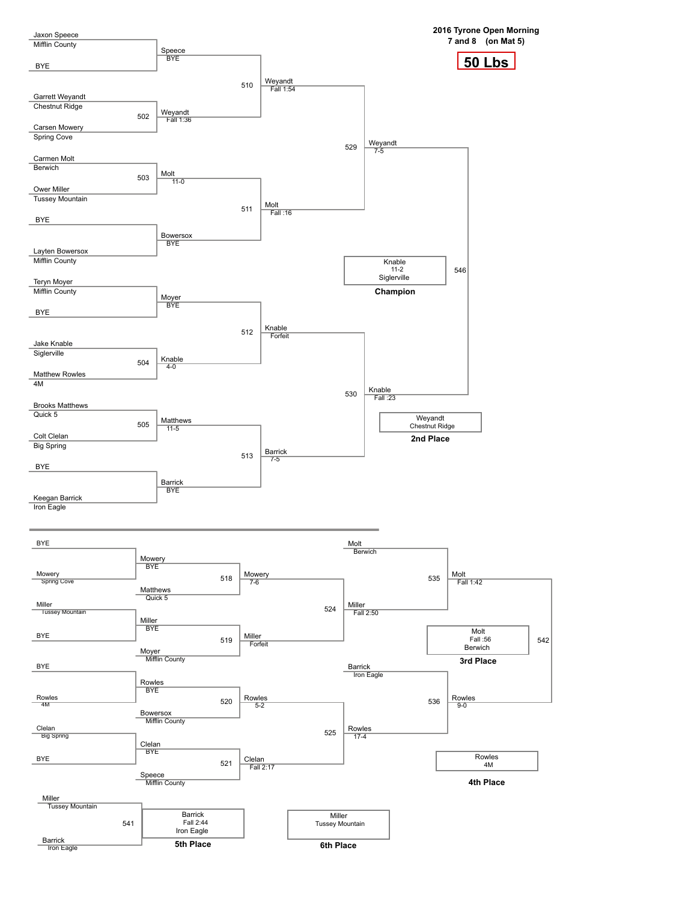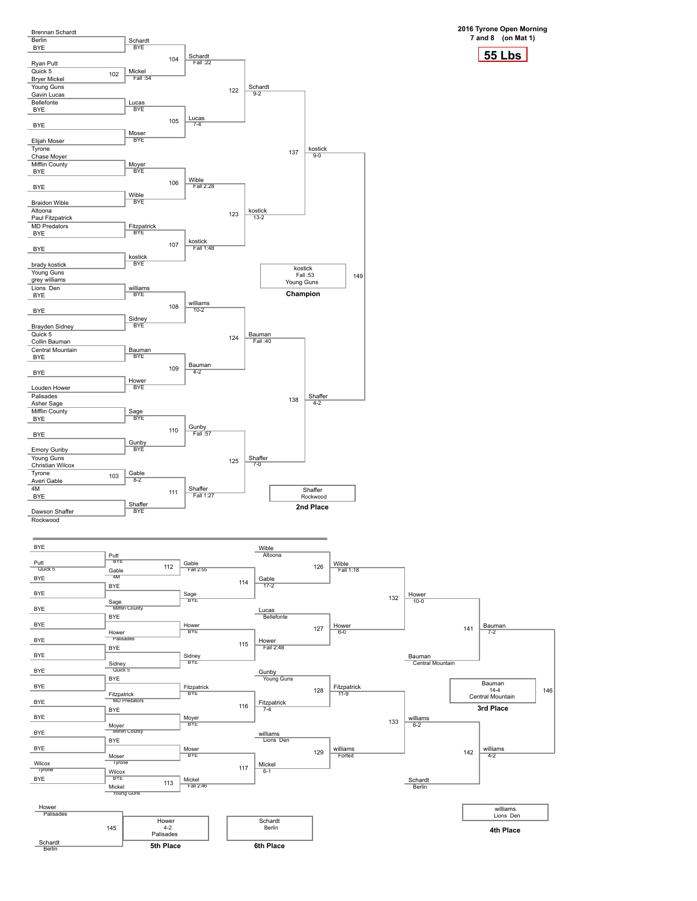

BYE Ï BYE BYE Ï BYE Ï BYE Ï BYE Ī BYE BYE Ï BYE BYE Ï BYE BYE Ï Wilcox Tyrone

Ï

Ï

Ï

Ï

Ï

Wilcox BYE

**55 Lbs 2016 Tyrone Open Morning**

Gable<br>4M 112 BYE Sage Mifflin County BYE Hower Palisades BYE Sidney Quick 5 BYE Fitzpatrick MD Predators BYE Moyer Mifflin County BYE Moser Tyrone Gable Fall 2:55 Sage BYE 114 Hower BYE Sidney BYE 115 Fitzpatrick BYE Moyer BYE 116 Moser BYE<sup>B</sup> Gable<br>17-2 126 Lucas Bellefonte Hower Fall 2:48 127 Gunby Young Guns Fitzpatrick 7-4 128 williams Lions Den 129 Wible Fall 1:18 Hower 6-0 132 Fitzpatrick 11-9 williams Forfeit 133 Hower 10-0 Bauman Central Mountain 141 Bauman 7-2 williams 6-2 142 williams 4-2 Bauman  $14 - 4$ Central Mountain **3rd Place**

Schardt Berlin

146

williams Lions Den **4th Place**

BYE Mickel Young Guns Fall 2:46 Hower Palisades Schardt Berlin 145 Hower 4-2 Palisades **5th Place** Schardt Berlin **6th Place**

117

Mickel 6-1

113

Mickel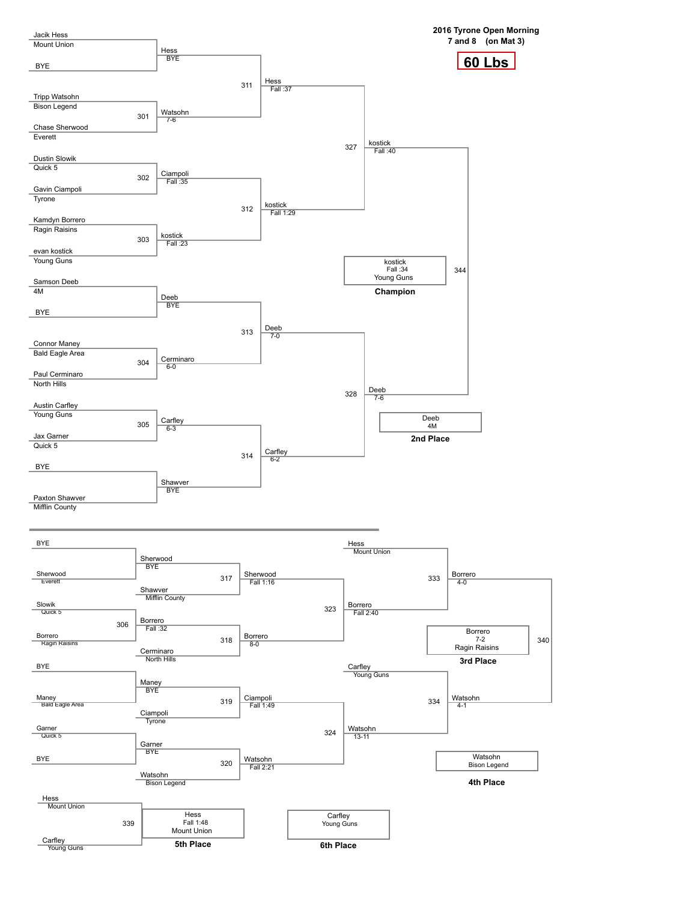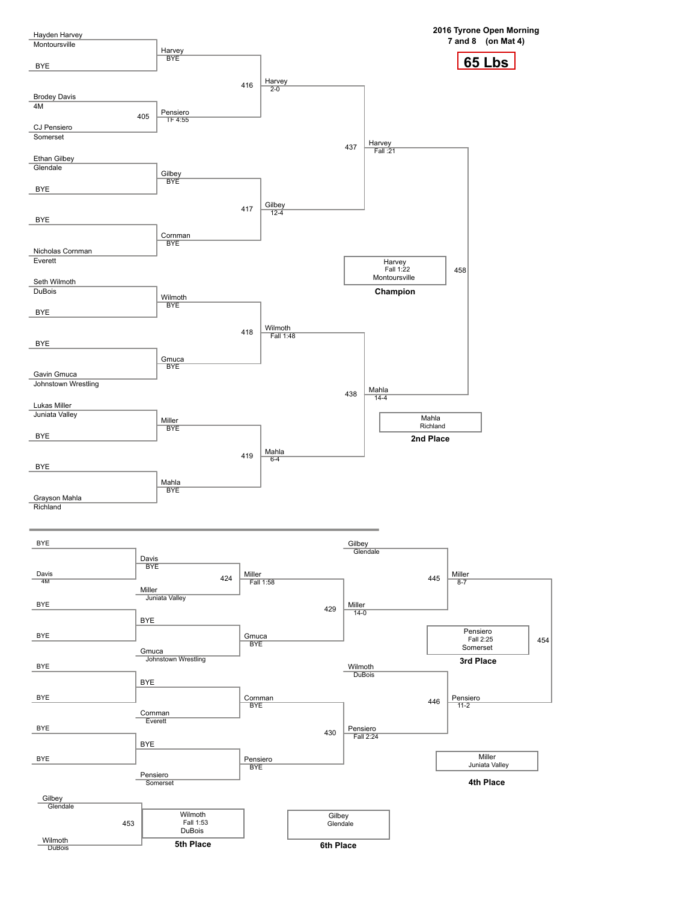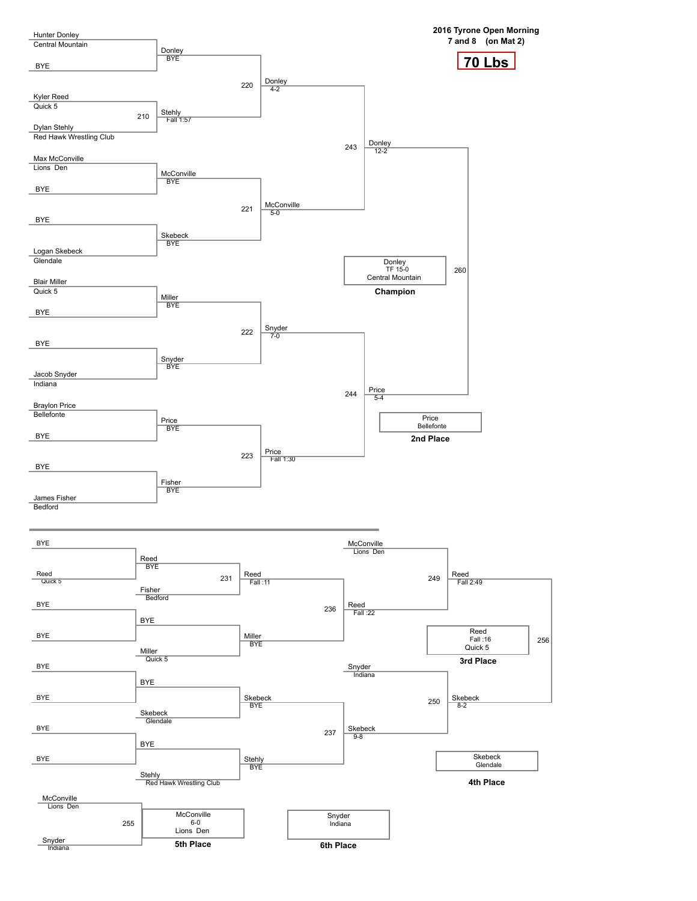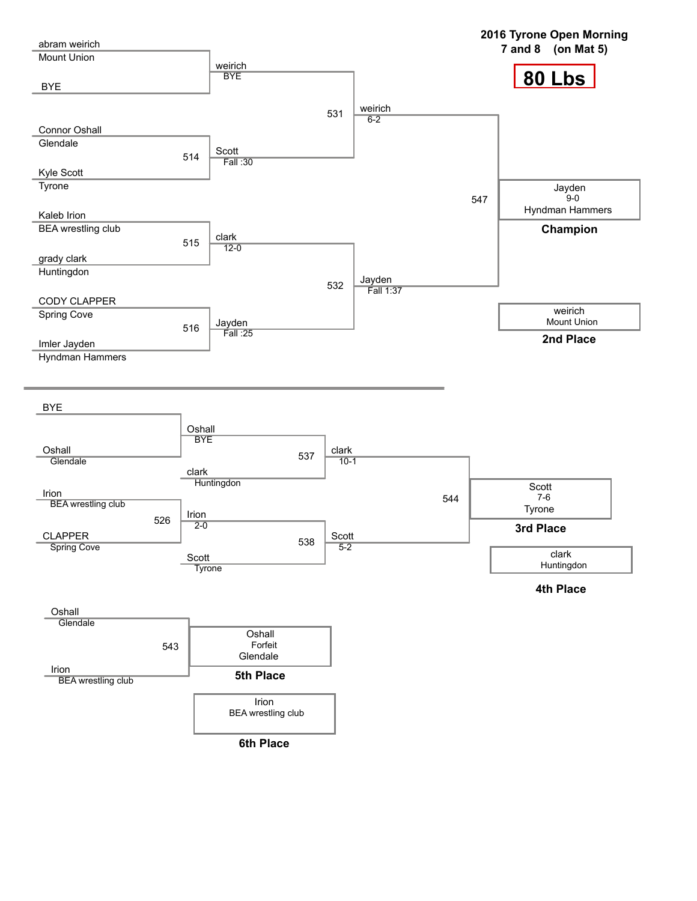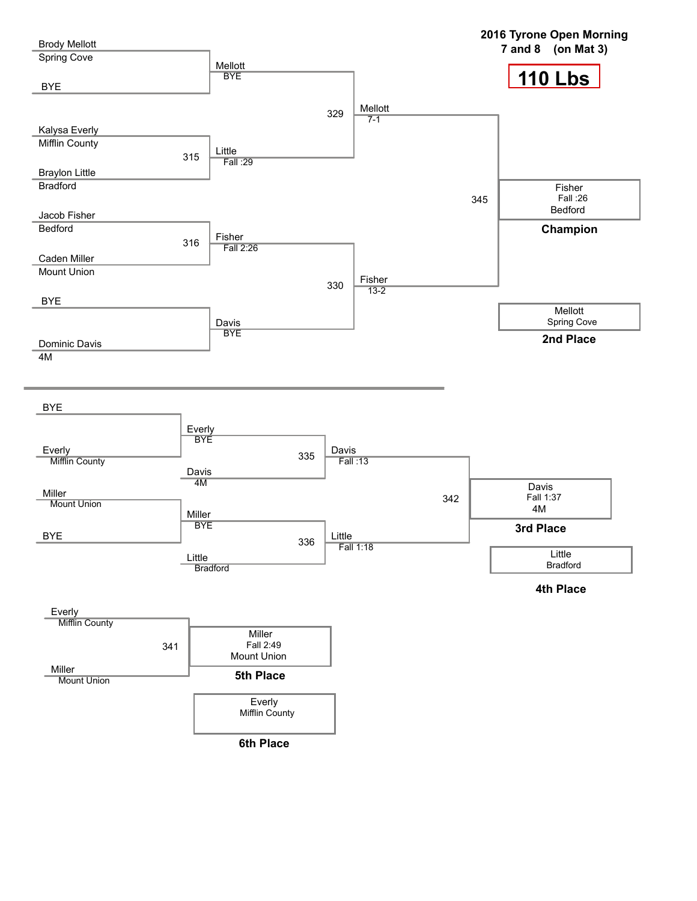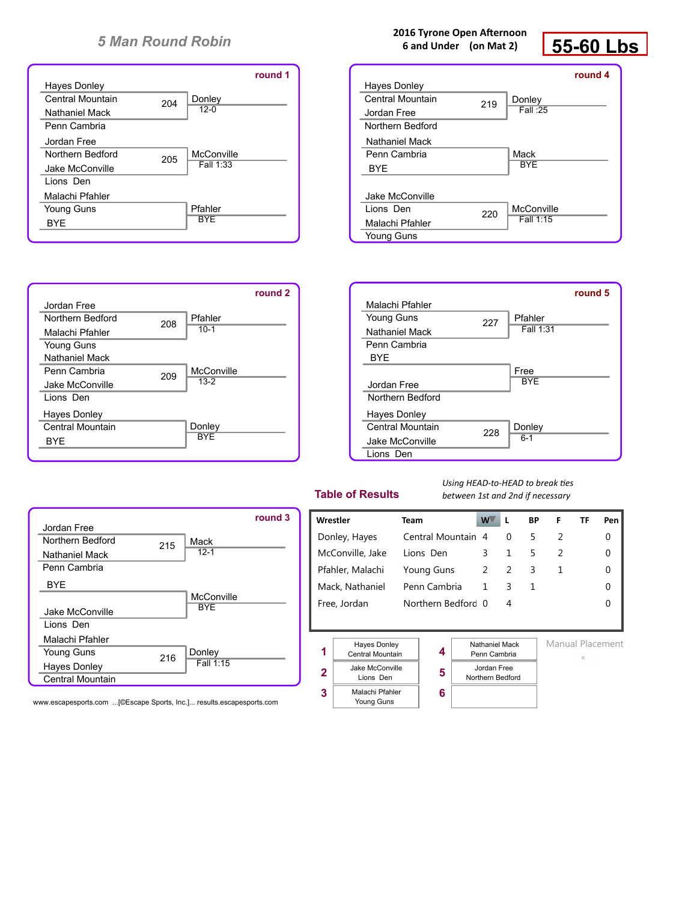

#### **2016 Tyrone Open Afternoon 6 and Under (on Mat 2)**



|                  |     |            | round 4 |
|------------------|-----|------------|---------|
| Hayes Donley     |     |            |         |
| Central Mountain | 219 | Donley     |         |
| Jordan Free      |     | Fall: 25   |         |
| Northern Bedford |     |            |         |
| Nathaniel Mack   |     |            |         |
| Penn Cambria     |     | Mack       |         |
| BYE              |     | <b>BYF</b> |         |
|                  |     |            |         |
| Jake McConville  |     |            |         |
| Lions Den        | 220 | McConville |         |
| Malachi Pfahler  |     | Fall 1:15  |         |
| Young Guns       |     |            |         |





#### **Table of Results**

Lions Den

**2 3**

Malachi Pfahler Young Guns

*Using HEAD-to-HEAD to break ties between 1st and 2nd if necessary*



www.escapesports.com ...[©Escape Sports, Inc.]... results.escapesports.com

|   | Wrestler                                     | Team |                                |  | W.          | L | ВP | F                | ΤF | Pen |
|---|----------------------------------------------|------|--------------------------------|--|-------------|---|----|------------------|----|-----|
|   | Donley, Hayes                                |      | Central Mountain 4             |  |             | 0 | 5  | 2                |    | 0   |
|   | McConville, Jake                             |      | Lions Den                      |  | 3           | 1 | 5  | 2                |    | 0   |
|   | Pfahler, Malachi                             |      | Young Guns                     |  | 2           | 2 | 3  | 1                |    | 0   |
|   | Mack, Nathaniel                              |      | Penn Cambria                   |  | 1           | 3 | 1  |                  |    | 0   |
|   | Free, Jordan                                 |      | Northern Bedford 0             |  |             | 4 |    |                  |    | O   |
|   |                                              |      |                                |  |             |   |    |                  |    |     |
| 1 | <b>Hayes Donley</b><br>4<br>Central Mountain |      | Nathaniel Mack<br>Penn Cambria |  |             |   | 四  | Manual Placement |    |     |
|   | Iake McConville                              |      |                                |  | Iordan Free |   |    |                  |    |     |

**5 6**

Northern Bedford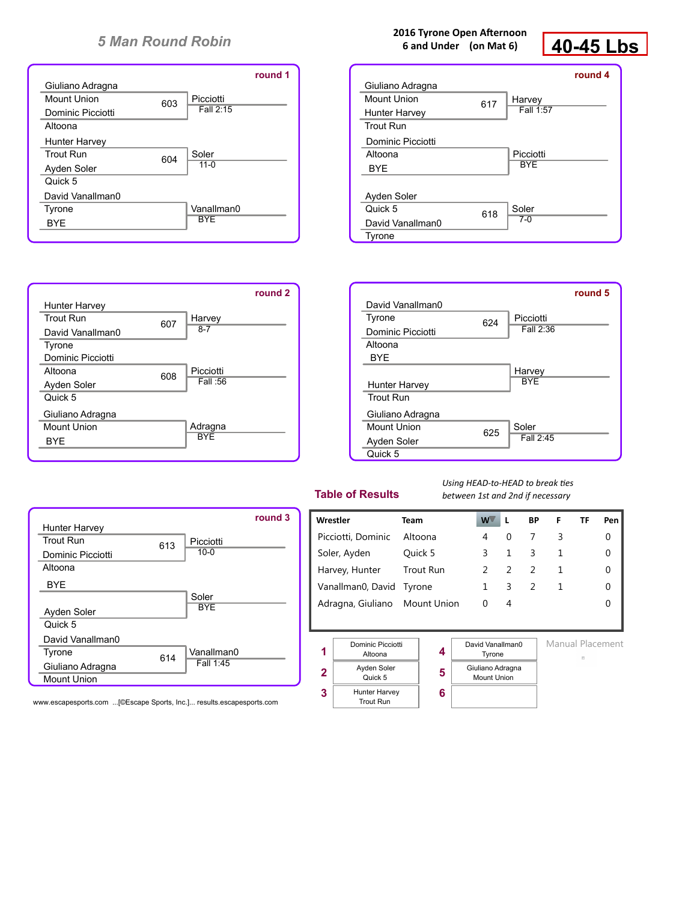

#### **2016 Tyrone Open Afternoon 6 and Under (on Mat 6)**



|                   |     |            | round 4 |
|-------------------|-----|------------|---------|
| Giuliano Adragna  |     |            |         |
| Mount Union       | 617 | Harvey     |         |
| Hunter Harvey     |     | Fall 1:57  |         |
| <b>Trout Run</b>  |     |            |         |
| Dominic Picciotti |     |            |         |
| Altoona           |     | Picciotti  |         |
| BYE               |     | <b>BYF</b> |         |
|                   |     |            |         |
| Ayden Soler       |     |            |         |
| Quick 5           | 618 | Soler      |         |
| David Vanallman0  |     | $7-0$      |         |
| Tyrone            |     |            |         |





#### **Table of Results**

*Using HEAD-to-HEAD to break ties between 1st and 2nd if necessary*



www.escapesports.com ...[©Escape Sports, Inc.]... results.escapesports.com

| Wrestler                      | Team             | $W^{\vee}$ |          | <b>BP</b> | F | ΤF | Pen l |
|-------------------------------|------------------|------------|----------|-----------|---|----|-------|
| Picciotti, Dominic            | Altoona          | 4          | $\Omega$ |           | 3 |    |       |
| Soler, Ayden                  | Ouick 5          | ς          |          | 3         |   |    | 0     |
| Harvey, Hunter                | <b>Trout Run</b> |            |          |           |   |    |       |
| Vanallman0, David Tyrone      |                  |            | 3        |           |   |    |       |
| Adragna, Giuliano Mount Union |                  | 0          | 4        |           |   |    |       |
|                               |                  |            |          |           |   |    |       |



| otti | 4 |
|------|---|
| r    | 5 |
| эy   | 6 |

Manual Placement

- 
- Giuliano Adragna Mount Union

David Vanallman0 Tyrone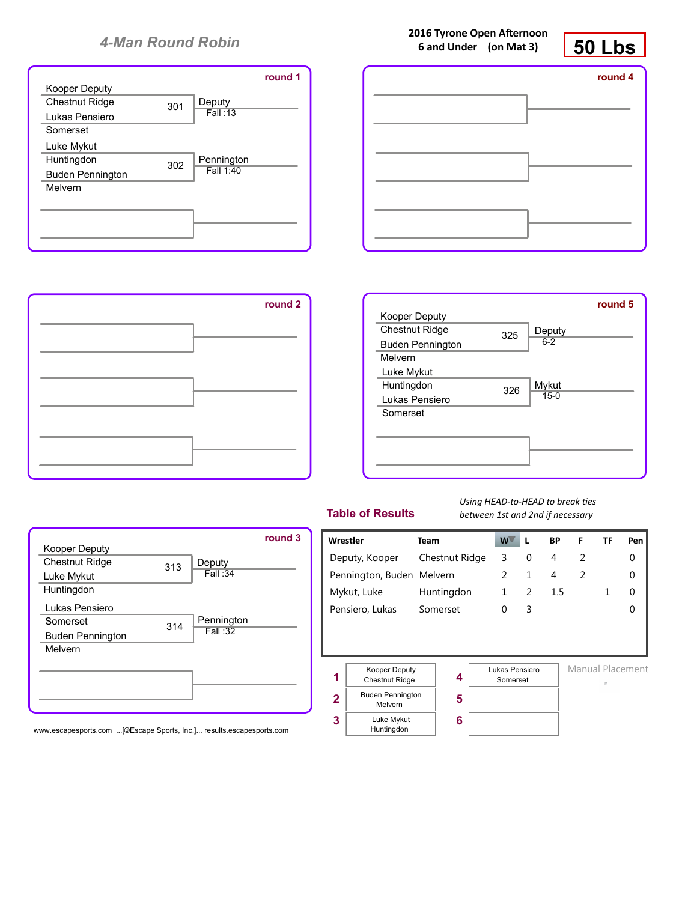



**2016 Tyrone Open Afternoon**







|                         |     |            | round 3 |
|-------------------------|-----|------------|---------|
| Kooper Deputy           |     |            |         |
| <b>Chestnut Ridge</b>   | 313 | Deputy     |         |
| Luke Mykut              |     | Fall:34    |         |
| Huntingdon              |     |            |         |
| Lukas Pensiero          |     |            |         |
| Somerset                | 314 | Pennington |         |
| <b>Buden Pennington</b> |     | Fall:32    |         |
| Melvern                 |     |            |         |
|                         |     |            |         |
|                         |     |            |         |
|                         |     |            |         |
|                         |     |            |         |
|                         |     |            |         |

www.escapesports.com ...[©Escape Sports, Inc.]... results.escapesports.com

## **Table of Results**

*Using HEAD-to-HEAD to break ties between 1st and 2nd if necessary*

| Wrestler                  |                                                    | <b>Team</b>    |   | W                          |   | <b>BP</b>      | F | TF | Pen              |
|---------------------------|----------------------------------------------------|----------------|---|----------------------------|---|----------------|---|----|------------------|
|                           | Deputy, Kooper                                     | Chestnut Ridge |   | 3                          | 0 | 4              | 2 |    | 0                |
|                           | Pennington, Buden Melvern                          |                | 2 | $\mathbf{1}$               | 4 | $\overline{2}$ |   | 0  |                  |
| Mykut, Luke<br>Huntingdon |                                                    | $\mathbf{1}$   | 2 | 1.5                        |   | 1              | 0 |    |                  |
|                           | Pensiero, Lukas<br>Somerset                        |                | 0 | 3                          |   |                |   | 0  |                  |
|                           |                                                    |                |   |                            |   |                |   |    |                  |
|                           |                                                    |                |   |                            |   |                |   |    |                  |
|                           |                                                    |                |   |                            |   |                |   |    |                  |
| 1                         | <b>Kooper Deputy</b><br>4<br><b>Chestnut Ridge</b> |                |   | Lukas Pensiero<br>Somerset |   |                |   |    | Manual Placement |
| $\overline{2}$            | <b>Buden Pennington</b>                            | 5              |   |                            |   |                |   | 曲  |                  |
|                           | Melvern                                            |                |   |                            |   |                |   |    |                  |
| 3                         | Luke Mykut<br>Huntingdon                           | 6              |   |                            |   |                |   |    |                  |